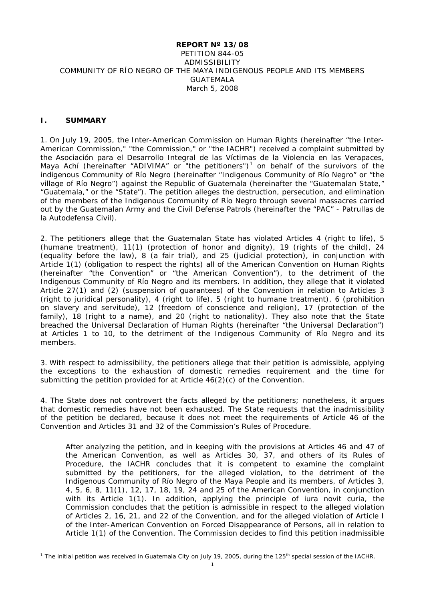## **REPORT Nº 13/08** PETITION 844-05 ADMISSIBILITY COMMUNITY OF RÍO NEGRO OF THE MAYA INDIGENOUS PEOPLE AND ITS MEMBERS GUATEMALA March 5, 2008

## **I. SUMMARY**

1. On July 19, 2005, the Inter-American Commission on Human Rights (hereinafter "the Inter-American Commission," "the Commission," or "the IACHR") received a complaint submitted by the Asociación para el Desarrollo Integral de las Víctimas de la Violencia en las Verapaces, Maya Achí (hereinafter "ADIVIMA" or "the petitioners")<sup>[1](#page-0-0)</sup> on behalf of the survivors of the indigenous Community of Río Negro (hereinafter "Indigenous Community of Río Negro" or "the village of Río Negro") against the Republic of Guatemala (hereinafter the "Guatemalan State," "Guatemala," or the "State"). The petition alleges the destruction, persecution, and elimination of the members of the Indigenous Community of Río Negro through several massacres carried out by the Guatemalan Army and the Civil Defense Patrols (hereinafter the "PAC" - Patrullas de la Autodefensa Civil).

2. The petitioners allege that the Guatemalan State has violated Articles 4 (right to life), 5 (humane treatment), 11(1) (protection of honor and dignity), 19 (rights of the child), 24 (equality before the law), 8 (a fair trial), and 25 (judicial protection), in conjunction with Article 1(1) (obligation to respect the rights) all of the American Convention on Human Rights (hereinafter "the Convention" or "the American Convention"), to the detriment of the Indigenous Community of Río Negro and its members. In addition, they allege that it violated Article 27(1) and (2) (suspension of guarantees) of the Convention in relation to Articles 3 (right to juridical personality), 4 (right to life), 5 (right to humane treatment), 6 (prohibition on slavery and servitude), 12 (freedom of conscience and religion), 17 (protection of the family), 18 (right to a name), and 20 (right to nationality). They also note that the State breached the Universal Declaration of Human Rights (hereinafter "the Universal Declaration") at Articles 1 to 10, to the detriment of the Indigenous Community of Río Negro and its members.

3. With respect to admissibility, the petitioners allege that their petition is admissible, applying the exceptions to the exhaustion of domestic remedies requirement and the time for submitting the petition provided for at Article  $46(2)(c)$  of the Convention.

4. The State does not controvert the facts alleged by the petitioners; nonetheless, it argues that domestic remedies have not been exhausted. The State requests that the inadmissibility of the petition be declared, because it does not meet the requirements of Article 46 of the Convention and Articles 31 and 32 of the Commission's Rules of Procedure.

After analyzing the petition, and in keeping with the provisions at Articles 46 and 47 of the American Convention, as well as Articles 30, 37, and others of its Rules of Procedure, the IACHR concludes that it is competent to examine the complaint submitted by the petitioners, for the alleged violation, to the detriment of the Indigenous Community of Río Negro of the Maya People and its members, of Articles 3, 4, 5, 6, 8, 11(1), 12, 17, 18, 19, 24 and 25 of the American Convention, in conjunction with its Article 1(1). In addition, applying the principle of *iura novit curia*, the Commission concludes that the petition is admissible in respect to the alleged violation of Articles 2, 16, 21, and 22 of the Convention, and for the alleged violation of Article I of the Inter-American Convention on Forced Disappearance of Persons, all in relation to Article 1(1) of the Convention. The Commission decides to find this petition inadmissible

<span id="page-0-0"></span><sup>&</sup>lt;sup>1</sup> The initial petition was received in Guatemala City on July 19, 2005, during the 125<sup>th</sup> special session of the IACHR.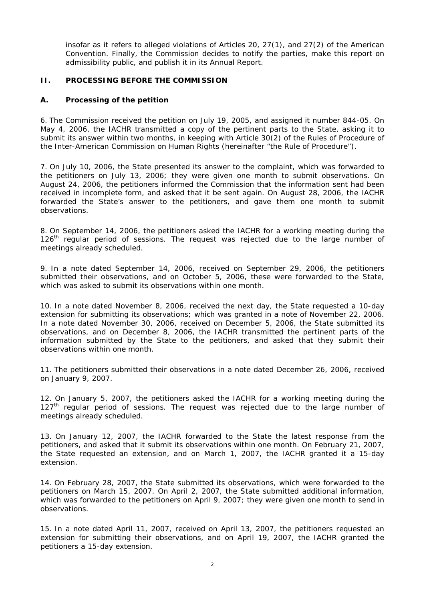insofar as it refers to alleged violations of Articles 20, 27(1), and 27(2) of the American Convention. Finally, the Commission decides to notify the parties, make this report on admissibility public, and publish it in its Annual Report.

# **II. PROCESSING BEFORE THE COMMISSION**

## **A. Processing of the petition**

6. The Commission received the petition on July 19, 2005, and assigned it number 844-05. On May 4, 2006, the IACHR transmitted a copy of the pertinent parts to the State, asking it to submit its answer within two months, in keeping with Article 30(2) of the Rules of Procedure of the Inter-American Commission on Human Rights (hereinafter "the Rule of Procedure").

7. On July 10, 2006, the State presented its answer to the complaint, which was forwarded to the petitioners on July 13, 2006; they were given one month to submit observations. On August 24, 2006, the petitioners informed the Commission that the information sent had been received in incomplete form, and asked that it be sent again. On August 28, 2006, the IACHR forwarded the State's answer to the petitioners, and gave them one month to submit observations.

8. On September 14, 2006, the petitioners asked the IACHR for a working meeting during the 126<sup>th</sup> regular period of sessions. The request was rejected due to the large number of meetings already scheduled.

9. In a note dated September 14, 2006, received on September 29, 2006, the petitioners submitted their observations, and on October 5, 2006, these were forwarded to the State, which was asked to submit its observations within one month.

10. In a note dated November 8, 2006, received the next day, the State requested a 10-day extension for submitting its observations; which was granted in a note of November 22, 2006. In a note dated November 30, 2006, received on December 5, 2006, the State submitted its observations, and on December 8, 2006, the IACHR transmitted the pertinent parts of the information submitted by the State to the petitioners, and asked that they submit their observations within one month.

11. The petitioners submitted their observations in a note dated December 26, 2006, received on January 9, 2007.

12. On January 5, 2007, the petitioners asked the IACHR for a working meeting during the 127<sup>th</sup> regular period of sessions. The request was rejected due to the large number of meetings already scheduled.

13. On January 12, 2007, the IACHR forwarded to the State the latest response from the petitioners, and asked that it submit its observations within one month. On February 21, 2007, the State requested an extension, and on March 1, 2007, the IACHR granted it a 15-day extension.

14. On February 28, 2007, the State submitted its observations, which were forwarded to the petitioners on March 15, 2007. On April 2, 2007, the State submitted additional information, which was forwarded to the petitioners on April 9, 2007; they were given one month to send in observations.

15. In a note dated April 11, 2007, received on April 13, 2007, the petitioners requested an extension for submitting their observations, and on April 19, 2007, the IACHR granted the petitioners a 15-day extension.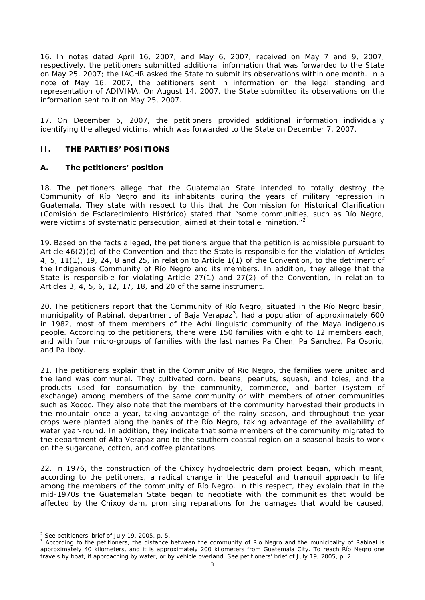16. In notes dated April 16, 2007, and May 6, 2007, received on May 7 and 9, 2007, respectively, the petitioners submitted additional information that was forwarded to the State on May 25, 2007; the IACHR asked the State to submit its observations within one month. In a note of May 16, 2007, the petitioners sent in information on the legal standing and representation of ADIVIMA. On August 14, 2007, the State submitted its observations on the information sent to it on May 25, 2007.

17. On December 5, 2007, the petitioners provided additional information individually identifying the alleged victims, which was forwarded to the State on December 7, 2007.

## **II. THE PARTIES' POSITIONS**

## **A. The petitioners' position**

18. The petitioners allege that the Guatemalan State intended to totally destroy the Community of Río Negro and its inhabitants during the years of military repression in Guatemala. They state with respect to this that the Commission for Historical Clarification (Comisión de Esclarecimiento Histórico) stated that "some communities, such as Río Negro, were victims of systematic persecution, aimed at their total elimination."<sup>[2](#page-2-0)</sup>

19. Based on the facts alleged, the petitioners argue that the petition is admissible pursuant to Article 46(2)(c) of the Convention and that the State is responsible for the violation of Articles 4, 5, 11(1), 19, 24, 8 and 25, in relation to Article 1(1) of the Convention, to the detriment of the Indigenous Community of Río Negro and its members. In addition, they allege that the State is responsible for violating Article 27(1) and 27(2) of the Convention, in relation to Articles 3, 4, 5, 6, 12, 17, 18, and 20 of the same instrument.

20. The petitioners report that the Community of Río Negro, situated in the Río Negro basin, municipality of Rabinal, department of Baja Verapaz<sup>[3](#page-2-1)</sup>, had a population of approximately 600 in 1982, most of them members of the Achí linguistic community of the Maya indigenous people. According to the petitioners, there were 150 families with eight to 12 members each, and with four micro-groups of families with the last names Pa Chen, Pa Sánchez, Pa Osorio, and Pa Iboy.

21. The petitioners explain that in the Community of Río Negro, the families were united and the land was communal. They cultivated corn, beans, peanuts, squash, and *toles*, and the products used for consumption by the community, commerce, and barter (system of exchange) among members of the same community or with members of other communities such as Xococ. They also note that the members of the community harvested their products in the mountain once a year, taking advantage of the rainy season, and throughout the year crops were planted along the banks of the Río Negro, taking advantage of the availability of water year-round. In addition, they indicate that some members of the community migrated to the department of Alta Verapaz and to the southern coastal region on a seasonal basis to work on the sugarcane, cotton, and coffee plantations.

22. In 1976, the construction of the Chixoy hydroelectric dam project began, which meant, according to the petitioners, a radical change in the peaceful and tranquil approach to life among the members of the community of Río Negro. In this respect, they explain that in the mid-1970s the Guatemalan State began to negotiate with the communities that would be affected by the Chixoy dam, promising reparations for the damages that would be caused,

<span id="page-2-0"></span> $2$  See petitioners' brief of July 19, 2005, p. 5.

<span id="page-2-1"></span><sup>&</sup>lt;sup>3</sup> According to the petitioners, the distance between the community of Río Negro and the municipality of Rabinal is approximately 40 kilometers, and it is approximately 200 kilometers from Guatemala City. To reach Río Negro one travels by boat, if approaching by water, or by vehicle overland. See petitioners' brief of July 19, 2005, p. 2.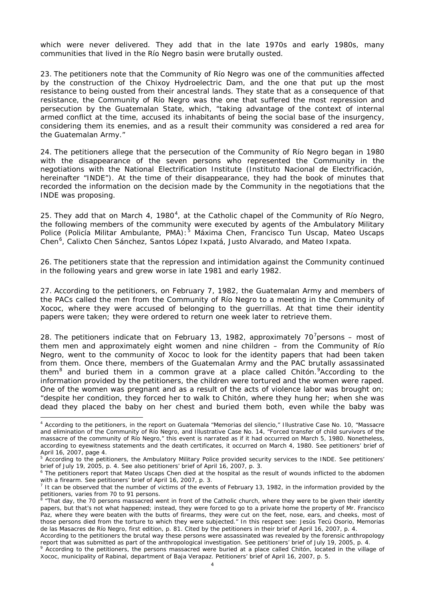which were never delivered. They add that in the late 1970s and early 1980s, many communities that lived in the Río Negro basin were brutally ousted.

23. The petitioners note that the Community of Río Negro was one of the communities affected by the construction of the Chixoy Hydroelectric Dam, and the one that put up the most resistance to being ousted from their ancestral lands. They state that as a consequence of that resistance, the Community of Río Negro was the one that suffered the most repression and persecution by the Guatemalan State, which, "taking advantage of the context of internal armed conflict at the time, accused its inhabitants of being the social base of the insurgency, considering them its enemies, and as a result their community was considered a red area for the Guatemalan Army."

24. The petitioners allege that the persecution of the Community of Río Negro began in 1980 with the disappearance of the seven persons who represented the Community in the negotiations with the National Electrification Institute (Instituto Nacional de Electrificación, hereinafter "INDE"). At the time of their disappearance, they had the book of minutes that recorded the information on the decision made by the Community in the negotiations that the INDE was proposing.

25. They add that on March [4](#page-3-0), 1980 $^4$ , at the Catholic chapel of the Community of Río Negro, the following members of the community were executed by agents of the Ambulatory Military Police (Policía Militar Ambulante, PMA):<sup>[5](#page-3-1)</sup> Máxima Chen, Francisco Tun Uscap, Mateo Uscaps Chen<sup>[6](#page-3-2)</sup>, Calixto Chen Sánchez, Santos López Ixpatá, Justo Alvarado, and Mateo Ixpata.

26. The petitioners state that the repression and intimidation against the Community continued in the following years and grew worse in late 1981 and early 1982.

27. According to the petitioners, on February 7, 1982, the Guatemalan Army and members of the PACs called the men from the Community of Río Negro to a meeting in the Community of Xococ, where they were accused of belonging to the guerrillas. At that time their identity papers were taken; they were ordered to return one week later to retrieve them.

28. The petitioners indicate that on February 13, 1982, approximately [7](#page-3-3)0<sup>7</sup> persons – most of them men and approximately eight women and nine children – from the Community of Río Negro, went to the community of Xococ to look for the identity papers that had been taken from them. Once there, members of the Guatemalan Army and the PAC brutally assassinated them<sup>[8](#page-3-4)</sup> and buried them in a common grave at a place called Chitón. According to the information provided by the petitioners, the children were tortured and the women were raped. One of the women was pregnant and as a result of the acts of violence labor was brought on; "despite her condition, they forced her to walk to Chitón, where they hung her; when she was dead they placed the baby on her chest and buried them both, even while the baby was

<span id="page-3-0"></span> <sup>4</sup> According to the petitioners, in the report on Guatemala "Memorias del silencio," Illustrative Case No. 10, "Massacre and elimination of the Community of Río Negro, and Illustrative Case No. 14, "Forced transfer of child survivors of the massacre of the community of Río Negro," this event is narrated as if it had occurred on March 5, 1980. Nonetheless, according to eyewitness statements and the death certificates, it occurred on March 4, 1980. See petitioners' brief of April 16, 2007, page 4.

<span id="page-3-1"></span><sup>&</sup>lt;sup>5</sup> According to the petitioners, the Ambulatory Military Police provided security services to the INDE. See petitioners' brief of July 19, 2005, p. 4. See also petitioners' brief of April 16, 2007, p. 3.

<span id="page-3-2"></span><sup>&</sup>lt;sup>6</sup> The petitioners report that Mateo Uscaps Chen died at the hospital as the result of wounds inflicted to the abdomen with a firearm. See petitioners' brief of April 16, 2007, p. 3.

<span id="page-3-3"></span>It can be observed that the number of victims of the events of February 13, 1982, in the information provided by the petitioners, varies from 70 to 91 persons.

<span id="page-3-4"></span><sup>&</sup>lt;sup>8</sup> "That day, the 70 persons massacred went in front of the Catholic church, where they were to be given their identity papers, but that's not what happened; instead, they were forced to go to a private home the property of Mr. Francisco Paz, where they were beaten with the butts of firearms, they were cut on the feet, nose, ears, and cheeks, most of those persons died from the torture to which they were subjected." In this respect see: Jesús Tecú Osorio, Memorias de las Masacres de Río Negro, first edition, p. 81. Cited by the petitioners in their brief of April 16, 2007, p. 4.

According to the petitioners the brutal way these persons were assassinated was revealed by the forensic anthropology report that was submitted as part of the anthropological investigation. See petitioners' brief of July 19, 2005, p. 4.

<span id="page-3-5"></span><sup>&</sup>lt;sup>9</sup> According to the petitioners, the persons massacred were buried at a place called Chitón, located in the village of Xococ, municipality of Rabinal, department of Baja Verapaz. Petitioners' brief of April 16, 2007, p. 5.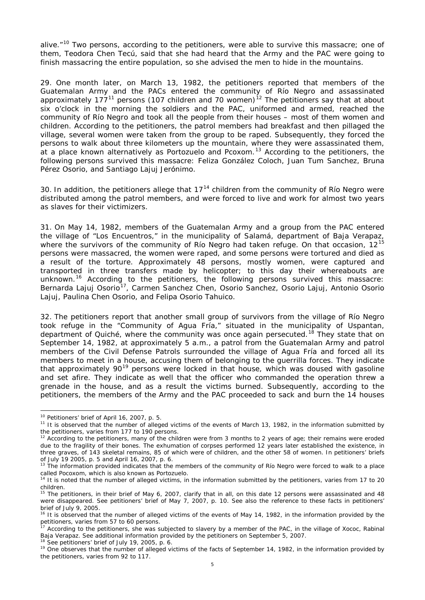alive."<sup>[10](#page-4-0)</sup> Two persons, according to the petitioners, were able to survive this massacre; one of them, Teodora Chen Tecú, said that she had heard that the Army and the PAC were going to finish massacring the entire population, so she advised the men to hide in the mountains.

29. One month later, on March 13, 1982, the petitioners reported that members of the Guatemalan Army and the PACs entered the community of Río Negro and assassinated approximately 177<sup>[11](#page-4-1)</sup> persons (107 children and 70 women)<sup>[12](#page-4-2)</sup> The petitioners say that at about six o'clock in the morning the soldiers and the PAC, uniformed and armed, reached the community of Río Negro and took all the people from their houses – most of them women and children. According to the petitioners, the patrol members had breakfast and then pillaged the village, several women were taken from the group to be raped. Subsequently, they forced the persons to walk about three kilometers up the mountain, where they were assassinated them, at a place known alternatively as Portozuelo and Pcoxom.<sup>[13](#page-4-3)</sup> According to the petitioners, the following persons survived this massacre: Feliza González Coloch, Juan Tum Sanchez, Bruna Pérez Osorio, and Santiago Lajuj Jerónimo.

30. In addition, the petitioners allege that  $17<sup>14</sup>$  $17<sup>14</sup>$  $17<sup>14</sup>$  children from the community of Río Negro were distributed among the patrol members, and were forced to live and work for almost two years as slaves for their victimizers.

31. On May 14, 1982, members of the Guatemalan Army and a group from the PAC entered the village of "Los Encuentros," in the municipality of Salamá, department of Baja Verapaz, where the survivors of the community of Río Negro had taken refuge. On that occasion, 12<sup>[15](#page-4-5)</sup> persons were massacred, the women were raped, and some persons were tortured and died as a result of the torture. Approximately 48 persons, mostly women, were captured and transported in three transfers made by helicopter; to this day their whereabouts are unknown.<sup>[16](#page-4-6)</sup> According to the petitioners, the following persons survived this massacre: Bernarda Lajuj Osorio<sup>[17](#page-4-7)</sup>, Carmen Sanchez Chen, Osorio Sanchez, Osorio Lajuj, Antonio Osorio Lajuj, Paulina Chen Osorio, and Felipa Osorio Tahuico.

32. The petitioners report that another small group of survivors from the village of Río Negro took refuge in the "Community of Agua Fría," situated in the municipality of Uspantan, department of Quiché, where the community was once again persecuted.<sup>[18](#page-4-8)</sup> They state that on September 14, 1982, at approximately 5 a.m., a patrol from the Guatemalan Army and patrol members of the Civil Defense Patrols surrounded the village of Agua Fría and forced all its members to meet in a house, accusing them of belonging to the guerrilla forces. They indicate that approximately 90<sup>[19](#page-4-9)</sup> persons were locked in that house, which was doused with gasoline and set afire. They indicate as well that the officer who commanded the operation threw a grenade in the house, and as a result the victims burned. Subsequently, according to the petitioners, the members of the Army and the PAC proceeded to sack and burn the 14 houses

<span id="page-4-8"></span><sup>18</sup> See petitioners' brief of July 19, 2005, p. 6.

<span id="page-4-0"></span> <sup>10</sup> Petitioners' brief of April 16, 2007, p. 5.

<span id="page-4-1"></span><sup>&</sup>lt;sup>11</sup> It is observed that the number of alleged victims of the events of March 13, 1982, in the information submitted by the petitioners, varies from 177 to 190 persons.

<span id="page-4-2"></span> $12$  According to the petitioners, many of the children were from 3 months to 2 years of age; their remains were eroded due to the fragility of their bones. The exhumation of corpses performed 12 years later established the existence, in three graves, of 143 skeletal remains, 85 of which were of children, and the other 58 of women. In petitioners' briefs of July 19 2005, p. 5 and April 16, 2007, p. 6.

<span id="page-4-3"></span> $13$  The information provided indicates that the members of the community of Río Negro were forced to walk to a place called Pocoxom, which is also known as Portozuelo.

<span id="page-4-4"></span> $4$  It is noted that the number of alleged victims, in the information submitted by the petitioners, varies from 17 to 20 children.

<span id="page-4-5"></span> $15$  The petitioners, in their brief of May 6, 2007, clarify that in all, on this date 12 persons were assassinated and 48 were disappeared. See petitioners' brief of May 7, 2007, p. 10. See also the reference to these facts in petitioners' brief of July 9, 2005.

<span id="page-4-6"></span><sup>&</sup>lt;sup>16</sup> It is observed that the number of alleged victims of the events of May 14, 1982, in the information provided by the petitioners, varies from 57 to 60 persons.

<span id="page-4-7"></span>According to the petitioners, she was subjected to slavery by a member of the PAC, in the village of Xococ, Rabinal Baja Verapaz. See additional information provided by the petitioners on September 5, 2007.

<span id="page-4-9"></span><sup>&</sup>lt;sup>19</sup> One observes that the number of alleged victims of the facts of September 14, 1982, in the information provided by the petitioners, varies from 92 to 117.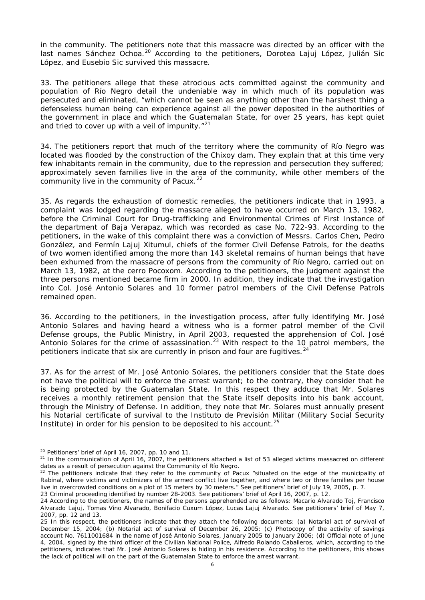in the community. The petitioners note that this massacre was directed by an officer with the last names Sánchez Ochoa.<sup>[20](#page-5-0)</sup> According to the petitioners, Dorotea Lajuj López, Julián Sic López, and Eusebio Sic survived this massacre.

33. The petitioners allege that these atrocious acts committed against the community and population of Río Negro detail the undeniable way in which much of its population was persecuted and eliminated, "which cannot be seen as anything other than the harshest thing a defenseless human being can experience against all the power deposited in the authorities of the government in place and which the Guatemalan State, for over 25 years, has kept quiet and tried to cover up with a veil of impunity."<sup>[21](#page-5-1)</sup>

34. The petitioners report that much of the territory where the community of Río Negro was located was flooded by the construction of the Chixoy dam. They explain that at this time very few inhabitants remain in the community, due to the repression and persecution they suffered; approximately seven families live in the area of the community, while other members of the community live in the community of Pacux. $22$ 

35. As regards the exhaustion of domestic remedies, the petitioners indicate that in 1993, a complaint was lodged regarding the massacre alleged to have occurred on March 13, 1982, before the Criminal Court for Drug-trafficking and Environmental Crimes of First Instance of the department of Baja Verapaz, which was recorded as case No. 722-93. According to the petitioners, in the wake of this complaint there was a conviction of Messrs. Carlos Chen, Pedro González, and Fermín Lajuj Xitumul, chiefs of the former Civil Defense Patrols, for the deaths of two women identified among the more than 143 skeletal remains of human beings that have been exhumed from the massacre of persons from the community of Río Negro, carried out on March 13, 1982, at the cerro Pocoxom. According to the petitioners, the judgment against the three persons mentioned became firm in 2000. In addition, they indicate that the investigation into Col. José Antonio Solares and 10 former patrol members of the Civil Defense Patrols remained open.

36. According to the petitioners, in the investigation process, after fully identifying Mr. José Antonio Solares and having heard a witness who is a former patrol member of the Civil Defense groups, the Public Ministry, in April 2003, requested the apprehension of Col. José Antonio Solares for the crime of assassination.<sup>[23](#page-5-3)</sup> With respect to the 10 patrol members, the petitioners indicate that six are currently in prison and four are fugitives.  $24$ 

37. As for the arrest of Mr. José Antonio Solares, the petitioners consider that the State does not have the political will to enforce the arrest warrant; to the contrary, they consider that he is being protected by the Guatemalan State. In this respect they adduce that Mr. Solares receives a monthly retirement pension that the State itself deposits into his bank account, through the Ministry of Defense. In addition, they note that Mr. Solares must annually present his Notarial certificate of survival to the Instituto de Previsión Militar (Military Social Security Institute) in order for his pension to be deposited to his account.<sup>[25](#page-5-5)</sup>

<span id="page-5-0"></span><sup>&</sup>lt;sup>20</sup> Petitioners' brief of April 16, 2007, pp. 10 and 11.

<span id="page-5-1"></span> $21$  In the communication of April 16, 2007, the petitioners attached a list of 53 alleged victims massacred on different dates as a result of persecution against the Community of Río Negro.

<span id="page-5-2"></span><sup>&</sup>lt;sup>22</sup> The petitioners indicate that they refer to the community of Pacux "situated on the edge of the municipality of Rabinal, where victims and victimizers of the armed conflict live together, and where two or three families per house live in overcrowded conditions on a plot of 15 meters by 30 meters." See petitioners' brief of July 19, 2005, p. 7. 23 Criminal proceeding identified by number 28-2003. See petitioners' brief of April 16, 2007, p. 12.

<span id="page-5-4"></span><span id="page-5-3"></span><sup>24</sup> According to the petitioners, the names of the persons apprehended are as follows: Macario Alvarado Toj, Francisco Alvarado Lajuj, Tomas Vino Alvarado, Bonifacio Cuxum López, Lucas Lajuj Alvarado. See petitioners' brief of May 7, 2007, pp. 12 and 13.

<span id="page-5-5"></span><sup>25</sup> In this respect, the petitioners indicate that they attach the following documents: (a) Notarial act of survival of December 15, 2004; (b) Notarial act of survival of December 26, 2005; (c) Photocopy of the activity of savings account No. 7611001684 in the name of José Antonio Solares, January 2005 to January 2006; (d) Official note of June 4, 2004, signed by the third officer of the Civilian National Police, Alfredo Rolando Caballeros, which, according to the petitioners, indicates that Mr. José Antonio Solares is hiding in his residence. According to the petitioners, this shows the lack of political will on the part of the Guatemalan State to enforce the arrest warrant.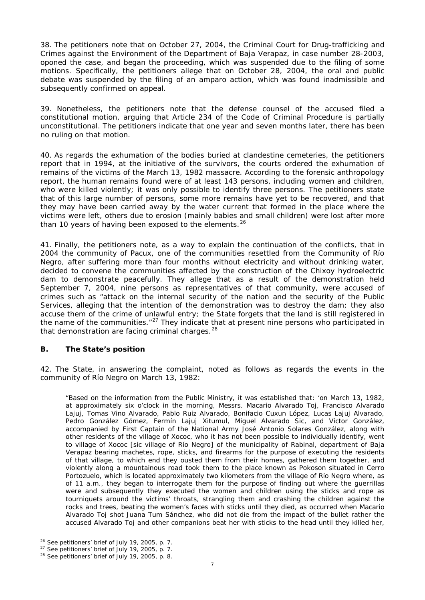38. The petitioners note that on October 27, 2004, the Criminal Court for Drug-trafficking and Crimes against the Environment of the Department of Baja Verapaz, in case number 28-2003, oponed the case, and began the proceeding, which was suspended due to the filing of some motions. Specifically, the petitioners allege that on October 28, 2004, the oral and public debate was suspended by the filing of an *amparo* action, which was found inadmissible and subsequently confirmed on appeal.

39. Nonetheless, the petitioners note that the defense counsel of the accused filed a constitutional motion, arguing that Article 234 of the Code of Criminal Procedure is partially unconstitutional. The petitioners indicate that one year and seven months later, there has been no ruling on that motion.

40. As regards the exhumation of the bodies buried at clandestine cemeteries, the petitioners report that in 1994, at the initiative of the survivors, the courts ordered the exhumation of remains of the victims of the March 13, 1982 massacre. According to the forensic anthropology report, the human remains found were of at least 143 persons, including women and children, who were killed violently; it was only possible to identify three persons. The petitioners state that of this large number of persons, some more remains have yet to be recovered, and that they may have been carried away by the water current that formed in the place where the victims were left, others due to erosion (mainly babies and small children) were lost after more than 10 years of having been exposed to the elements. $26$ 

41. Finally, the petitioners note, as a way to explain the continuation of the conflicts, that in 2004 the community of Pacux, one of the communities resettled from the Community of Río Negro, after suffering more than four months without electricity and without drinking water, decided to convene the communities affected by the construction of the Chixoy hydroelectric dam to demonstrate peacefully. They allege that as a result of the demonstration held September 7, 2004, nine persons as representatives of that community, were accused of crimes such as "attack on the internal security of the nation and the security of the Public Services, alleging that the intention of the demonstration was to destroy the dam; they also accuse them of the crime of unlawful entry; the State forgets that the land is still registered in the name of the communities. $"^{27}$  $"^{27}$  $"^{27}$  They indicate that at present nine persons who participated in that demonstration are facing criminal charges.<sup>[28](#page-6-2)</sup>

## **B. The State's position**

42. The State, in answering the complaint, noted as follows as regards the events in the community of Río Negro on March 13, 1982:

"Based on the information from the Public Ministry, it was established that: 'on March 13, 1982, at approximately six o'clock in the morning, Messrs. Macario Alvarado Toj, Francisco Alvarado Lajuj, Tomas Vino Alvarado, Pablo Ruiz Alvarado, Bonifacio Cuxun López, Lucas Lajuj Alvarado, Pedro González Gómez, Fermín Lajuj Xitumul, Miguel Alvarado Sic, and Víctor González, accompanied by First Captain of the National Army José Antonio Solares González, along with other residents of the village of Xococ, who it has not been possible to individually identify, went to village of Xococ [*sic* village of Río Negro] of the municipality of Rabinal, department of Baja Verapaz bearing machetes, rope, sticks, and firearms for the purpose of executing the residents of that village, to which end they ousted them from their homes, gathered them together, and violently along a mountainous road took them to the place known as Pokoson situated in Cerro Portozuelo, which is located approximately two kilometers from the village of Río Negro where, as of 11 a.m., they began to interrogate them for the purpose of finding out where the guerrillas were and subsequently they executed the women and children using the sticks and rope as tourniquets around the victims' throats, strangling them and crashing the children against the rocks and trees, beating the women's faces with sticks until they died, as occurred when Macario Alvarado Toj shot Juana Tum Sánchez, who did not die from the impact of the bullet rather the accused Alvarado Toj and other companions beat her with sticks to the head until they killed her,

<span id="page-6-0"></span> $26$  See petitioners' brief of July 19, 2005, p. 7.

<span id="page-6-1"></span> $27$  See petitioners' brief of July 19, 2005, p. 7.

<span id="page-6-2"></span> $28$  See petitioners' brief of July 19, 2005, p. 8.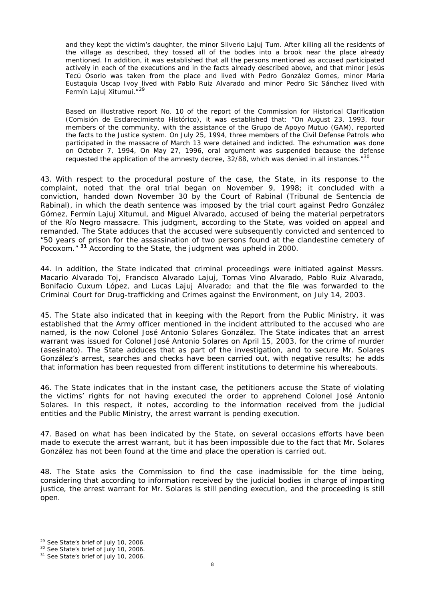and they kept the victim's daughter, the minor Silverio Lajuj Tum. After killing all the residents of the village as described, they tossed all of the bodies into a brook near the place already mentioned. In addition, it was established that all the persons mentioned as accused participated actively in each of the executions and in the facts already described above, and that minor Jesús Tecú Osorio was taken from the place and lived with Pedro González Gomes, minor Maria Eustaquia Uscap Ivoy lived with Pablo Ruiz Alvarado and minor Pedro Sic Sánchez lived with Fermín Lajuj Xitumui.<sup>"[29](#page-7-0)</sup>

Based on illustrative report No. 10 of the report of the Commission for Historical Clarification (Comisión de Esclarecimiento Histórico), it was established that: "On August 23, 1993, four members of the community, with the assistance of the Grupo de Apoyo Mutuo (GAM), reported the facts to the Justice system. On July 25, 1994, three members of the Civil Defense Patrols who participated in the massacre of March 13 were detained and indicted. The exhumation was done on October 7, 1994, On May 27, 1996, oral argument was suspended because the defense requested the application of the amnesty decree, 32/88, which was denied in all instances."<sup>[30](#page-7-1)</sup>

43. With respect to the procedural posture of the case, the State, in its response to the complaint, noted that the oral trial began on November 9, 1998; it concluded with a conviction, handed down November 30 by the Court of Rabinal (Tribunal de Sentencia de Rabinal), in which the death sentence was imposed by the trial court against Pedro González Gómez, Fermín Lajuj Xitumul, and Miguel Alvarado, accused of being the material perpetrators of the Río Negro massacre. This judgment, according to the State, was voided on appeal and remanded. The State adduces that the accused were subsequently convicted and sentenced to "50 years of prison for the assassination of two persons found at the clandestine cemetery of Pocoxom." **[31](#page-7-2)** According to the State, the judgment was upheld in 2000.

44. In addition, the State indicated that criminal proceedings were initiated against Messrs. Macario Alvarado Toj, Francisco Alvarado Lajuj, Tomas Vino Alvarado, Pablo Ruiz Alvarado, Bonifacio Cuxum López, and Lucas Lajuj Alvarado; and that the file was forwarded to the Criminal Court for Drug-trafficking and Crimes against the Environment, on July 14, 2003.

45. The State also indicated that in keeping with the Report from the Public Ministry, it was established that the Army officer mentioned in the incident attributed to the accused who are named, is the now Colonel José Antonio Solares González. The State indicates that an arrest warrant was issued for Colonel José Antonio Solares on April 15, 2003, for the crime of murder (*asesinato*). The State adduces that as part of the investigation, and to secure Mr. Solares González's arrest, searches and checks have been carried out, with negative results; he adds that information has been requested from different institutions to determine his whereabouts.

46. The State indicates that in the instant case, the petitioners accuse the State of violating the victims' rights for not having executed the order to apprehend Colonel José Antonio Solares. In this respect, it notes, according to the information received from the judicial entities and the Public Ministry, the arrest warrant is pending execution.

47. Based on what has been indicated by the State, on several occasions efforts have been made to execute the arrest warrant, but it has been impossible due to the fact that Mr. Solares González has not been found at the time and place the operation is carried out.

48. The State asks the Commission to find the case inadmissible for the time being, considering that according to information received by the judicial bodies in charge of imparting justice, the arrest warrant for Mr. Solares is still pending execution, and the proceeding is still open.

<span id="page-7-0"></span><sup>&</sup>lt;sup>29</sup> See State's brief of July 10, 2006.

<span id="page-7-1"></span><sup>30</sup> See State's brief of July 10, 2006.

<span id="page-7-2"></span><sup>&</sup>lt;sup>31</sup> See State's brief of July 10, 2006.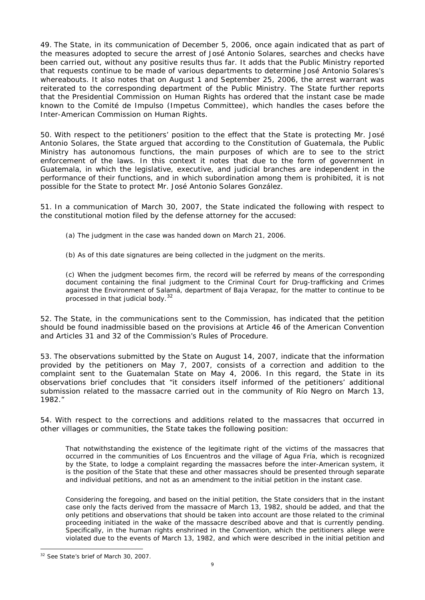49. The State, in its communication of December 5, 2006, once again indicated that as part of the measures adopted to secure the arrest of José Antonio Solares, searches and checks have been carried out, without any positive results thus far. It adds that the Public Ministry reported that requests continue to be made of various departments to determine José Antonio Solares's whereabouts. It also notes that on August 1 and September 25, 2006, the arrest warrant was reiterated to the corresponding department of the Public Ministry. The State further reports that the Presidential Commission on Human Rights has ordered that the instant case be made known to the Comité de Impulso (Impetus Committee), which handles the cases before the Inter-American Commission on Human Rights.

50. With respect to the petitioners' position to the effect that the State is protecting Mr. José Antonio Solares, the State argued that according to the Constitution of Guatemala, the Public Ministry has autonomous functions, the main purposes of which are to see to the strict enforcement of the laws. In this context it notes that due to the form of government in Guatemala, in which the legislative, executive, and judicial branches are independent in the performance of their functions, and in which subordination among them is prohibited, it is not possible for the State to protect Mr. José Antonio Solares González.

51. In a communication of March 30, 2007, the State indicated the following with respect to the constitutional motion filed by the defense attorney for the accused:

- (a) The judgment in the case was handed down on March 21, 2006.
- (b) As of this date signatures are being collected in the judgment on the merits.

(c) When the judgment becomes firm, the record will be referred by means of the corresponding document containing the final judgment to the Criminal Court for Drug-trafficking and Crimes against the Environment of Salamá, department of Baja Verapaz, for the matter to continue to be processed in that judicial body.<sup>[32](#page-8-0)</sup>

52. The State, in the communications sent to the Commission, has indicated that the petition should be found inadmissible based on the provisions at Article 46 of the American Convention and Articles 31 and 32 of the Commission's Rules of Procedure.

53. The observations submitted by the State on August 14, 2007, indicate that the information provided by the petitioners on May 7, 2007, consists of a correction and addition to the complaint sent to the Guatemalan State on May 4, 2006. In this regard, the State in its observations brief concludes that "it considers itself informed of the petitioners' additional submission related to the massacre carried out in the community of Río Negro on March 13, 1982."

54. With respect to the corrections and additions related to the massacres that occurred in other villages or communities, the State takes the following position:

That notwithstanding the existence of the legitimate right of the victims of the massacres that occurred in the communities of Los Encuentros and the village of Agua Fría, which is recognized by the State, to lodge a complaint regarding the massacres before the inter-American system, it is the position of the State that these and other massacres should be presented through separate and individual petitions, and not as an amendment to the initial petition in the instant case.

Considering the foregoing, and based on the initial petition, the State considers that in the instant case only the facts derived from the massacre of March 13, 1982, should be added, and that the only petitions and observations that should be taken into account are those related to the criminal proceeding initiated in the wake of the massacre described above and that is currently pending. Specifically, in the human rights enshrined in the Convention, which the petitioners allege were violated due to the events of March 13, 1982, and which were described in the initial petition and

<span id="page-8-0"></span><sup>&</sup>lt;sup>32</sup> See State's brief of March 30, 2007.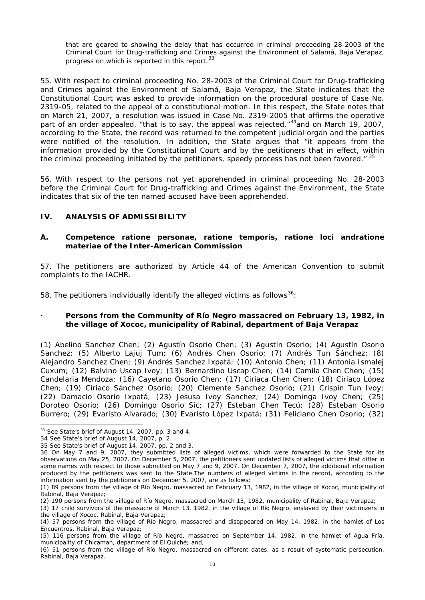that are geared to showing the delay that has occurred in criminal proceeding 28-2003 of the Criminal Court for Drug-trafficking and Crimes against the Environment of Salamá, Baja Verapaz, progress on which is reported in this report.<sup>[33](#page-9-0)</sup>

55. With respect to criminal proceeding No. 28-2003 of the Criminal Court for Drug-trafficking and Crimes against the Environment of Salamá, Baja Verapaz, the State indicates that the Constitutional Court was asked to provide information on the procedural posture of Case No. 2319-05, related to the appeal of a constitutional motion. In this respect, the State notes that on March 21, 2007, a resolution was issued in Case No. 2319-2005 that affirms the operative part of an order appealed, "that is to say, the appeal was rejected," $34$  and on March 19, 2007, according to the State, the record was returned to the competent judicial organ and the parties were notified of the resolution. In addition, the State argues that "it appears from the information provided by the Constitutional Court and by the petitioners that in effect, within the criminal proceeding initiated by the petitioners, speedy process has not been favored." <sup>[35](#page-9-2)</sup>

56. With respect to the persons not yet apprehended in criminal proceeding No. 28-2003 before the Criminal Court for Drug-trafficking and Crimes against the Environment, the State indicates that six of the ten named accused have been apprehended.

## **IV. ANALYSIS OF ADMISSIBILITY**

#### **A. Competence** *ratione personae, ratione temporis, ratione loci* **and***ratione materiae* **of the Inter-American Commission**

57. The petitioners are authorized by Article 44 of the American Convention to submit complaints to the IACHR.

58. The petitioners individually identify the alleged victims as follows<sup>[36](#page-9-3)</sup>:

## **· Persons from the Community of Río Negro massacred on February 13, 1982, in the village of Xococ, municipality of Rabinal, department of Baja Verapaz**

(1) Abelino Sanchez Chen; (2) Agustín Osorio Chen; (3) Agustín Osorio; (4) Agustín Osorio Sanchez; (5) Alberto Lajuj Tum; (6) Andrés Chen Osorio; (7) Andrés Tun Sánchez; (8) Alejandro Sanchez Chen; (9) Andrés Sanchez Ixpatá; (10) Antonio Chen; (11) Antonia Ismalej Cuxum; (12) Balvino Uscap Ivoy; (13) Bernardino Uscap Chen; (14) Camila Chen Chen; (15) Candelaria Mendoza; (16) Cayetano Osorio Chen; (17) Ciriaca Chen Chen; (18) Ciriaco López Chen; (19) Ciriaco Sánchez Osorio; (20) Clemente Sanchez Osorio; (21) Crispín Tun Ivoy; (22) Damacio Osorio Ixpatá; (23) Jesusa Ivoy Sanchez; (24) Dominga Ivoy Chen; (25) Doroteo Osorio; (26) Domingo Osorio Sic; (27) Esteban Chen Tecú; (28) Esteban Osorio Burrero; (29) Evaristo Alvarado; (30) Evaristo López Ixpatá; (31) Feliciano Chen Osorio; (32)

<span id="page-9-0"></span><sup>&</sup>lt;sup>33</sup> See State's brief of August 14, 2007, pp. 3 and 4.

<span id="page-9-1"></span><sup>34</sup> See State's brief of August 14, 2007, p. 2.

<sup>35</sup> See State's brief of August 14, 2007, pp. 2 and 3.

<span id="page-9-3"></span><span id="page-9-2"></span><sup>36</sup> On May 7 and 9, 2007, they submitted lists of alleged victims, which were forwarded to the State for its observations on May 25, 2007. On December 5, 2007, the petitioners sent updated lists of alleged victims that differ in some names with respect to those submitted on May 7 and 9, 2007. On December 7, 2007, the additional information produced by the petitioners was sent to the State.The numbers of alleged victims in the record, according to the information sent by the petitioners on December 5, 2007, are as follows:

<sup>(1) 89</sup> persons from the village of Río Negro, massacred on February 13, 1982, in the village of Xococ, municipality of Rabinal, Baja Verapaz;

<sup>(2) 190</sup> persons from the village of Río Negro, massacred on March 13, 1982, municipality of Rabinal, Baja Verapaz;

<sup>(3) 17</sup> child survivors of the massacre of March 13, 1982, in the village of Río Negro, enslaved by their victimizers in

the village of Xococ, Rabinal, Baja Verapaz; (4) 57 persons from the village of Río Negro, massacred and disappeared on May 14, 1982, in the hamlet of Los Encuentros, Rabinal, Baja Verapaz;

<sup>(5) 116</sup> persons from the village of Río Negro, massacred on September 14, 1982, in the hamlet of Agua Fría, municipality of Chicaman, department of El Quiché; and,

<sup>(6) 51</sup> persons from the village of Río Negro, massacred on different dates, as a result of systematic persecution, Rabinal, Baja Verapaz.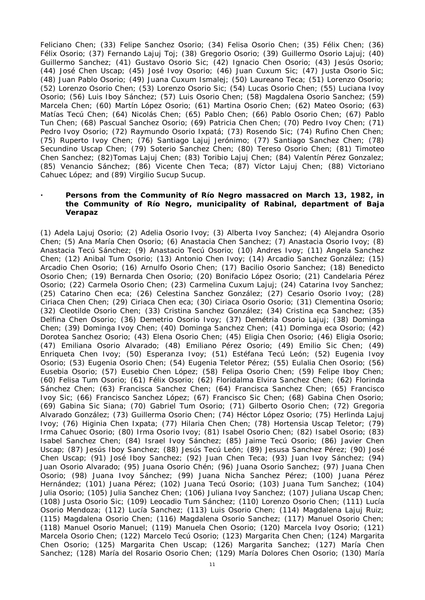Feliciano Chen; (33) Felipe Sanchez Osorio; (34) Felisa Osorio Chen; (35) Félix Chen; (36) Félix Osorio; (37) Fernando Lajuj Toj; (38) Gregorio Osorio; (39) Guillermo Osorio Lajuj; (40) Guillermo Sanchez; (41) Gustavo Osorio Sic; (42) Ignacio Chen Osorio; (43) Jesús Osorio; (44) José Chen Uscap; (45) José Ivoy Osorio; (46) Juan Cuxum Sic; (47) Justa Osorio Sic; (48) Juan Pablo Osorio; (49) Juana Cuxum Ismalej; (50) Laureano Teca; (51) Lorenzo Osorio; (52) Lorenzo Osorio Chen; (53) Lorenzo Osorio Sic; (54) Lucas Osorio Chen; (55) Luciana Ivoy Osorio; (56) Luis Iboy Sánchez; (57) Luis Osorio Chen; (58) Magdalena Osorio Sanchez; (59) Marcela Chen; (60) Martín López Osorio; (61) Martina Osorio Chen; (62) Mateo Osorio; (63) Matías Tecú Chen; (64) Nicolás Chen; (65) Pablo Chen; (66) Pablo Osorio Chen; (67) Pablo Tun Chen; (68) Pascual Sanchez Osorio; (69) Patricia Chen Chen; (70) Pedro Ivoy Chen; (71) Pedro Ivoy Osorio; (72) Raymundo Osorio Ixpatá; (73) Rosendo Sic; (74) Rufino Chen Chen; (75) Ruperto Ivoy Chen; (76) Santiago Lajuj Jerónimo; (77) Santiago Sanchez Chen; (78) Secundino Uscap Chen; (79) Soterio Sanchez Chen; (80) Tereso Osorio Chen; (81) Timoteo Chen Sanchez; (82)Tomas Lajuj Chen; (83) Toribio Lajuj Chen; (84) Valentín Pérez Gonzalez; (85) Venancio Sánchez; (86) Vicente Chen Teca; (87) Víctor Lajuj Chen; (88) Victoriano Cahuec López; and (89) Virgilio Sucup Sucup.

## **· Persons from the Community of Río Negro massacred on March 13, 1982, in the Community of Río Negro, municipality of Rabinal, department of Baja Verapaz**

(1) Adela Lajuj Osorio; (2) Adelia Osorio Ivoy; (3) Alberta Ivoy Sanchez; (4) Alejandra Osorio Chen; (5) Ana María Chen Osorio; (6) Anastacia Chen Sanchez; (7) Anastacia Osorio Ivoy; (8) Anastacia Tecú Sánchez; (9) Anastacio Tecú Osorio; (10) Andres Ivoy; (11) Angela Sanchez Chen; (12) Anibal Tum Osorio; (13) Antonio Chen Ivoy; (14) Arcadio Sanchez González; (15) Arcadio Chen Osorio; (16) Arnulfo Osorio Chen; (17) Bacilio Osorio Sanchez; (18) Benedicto Osorio Chen; (19) Bernarda Chen Osorio; (20) Bonifacio López Osorio; (21) Candelaria Pérez Osorio; (22) Carmela Osorio Chen; (23) Carmelina Cuxum Lajuj; (24) Catarina Ivoy Sanchez; (25) Catarino Chen eca; (26) Celestina Sanchez González; (27) Cesario Osorio Ivoy; (28) Ciriaca Chen Chen; (29) Ciriaca Chen eca; (30) Ciriaca Osorio Osorio; (31) Clementina Osorio; (32) Cleotilde Osorio Chen; (33) Cristina Sanchez González; (34) Cristina eca Sanchez; (35) Delfina Chen Osorio; (36) Demetrio Osorio Ivoy; (37) Demétria Osorio Lajuj; (38) Dominga Chen; (39) Dominga Ivoy Chen; (40) Dominga Sanchez Chen; (41) Dominga eca Osorio; (42) Dorotea Sanchez Osorio; (43) Elena Osorio Chen; (45) Eligia Chen Osorio; (46) Eligia Osorio; (47) Emiliana Osorio Alvarado; (48) Emiliano Pérez Osorio; (49) Emilio Sic Chen; (49) Enriqueta Chen Ivoy; (50) Esperanza Ivoy; (51) Estéfana Tecú León; (52) Eugenia Ivoy Osorio; (53) Eugenia Osorio Chen; (54) Eugenia Teletor Pérez; (55) Eulalia Chen Osorio; (56) Eusebia Osorio; (57) Eusebio Chen López; (58) Felipa Osorio Chen; (59) Felipe Iboy Chen; (60) Felisa Tum Osorio; (61) Félix Osorio; (62) Floridalma Elvira Sanchez Chen; (62) Florinda Sánchez Chen; (63) Francisca Sanchez Chen; (64) Francisca Sanchez Chen; (65) Francisco Ivoy Sic; (66) Francisco Sanchez López; (67) Francisco Sic Chen; (68) Gabina Chen Osorio; (69) Gabina Sic Siana; (70) Gabriel Tum Osorio; (71) Gilberto Osorio Chen; (72) Gregoria Alvarado González; (73) Guillerma Osorio Chen; (74) Héctor López Osorio; (75) Herlinda Lajuj Ivoy; (76) Higinia Chen Ixpata; (77) Hilaria Chen Chen; (78) Hortensia Uscap Teletor; (79) Irma Cahuec Osorio; (80) Irma Osorio Ivoy; (81) Isabel Osorio Chen; (82) Isabel Osorio; (83) Isabel Sanchez Chen; (84) Israel Ivoy Sánchez; (85) Jaime Tecú Osorio; (86) Javier Chen Uscap; (87) Jesús Iboy Sanchez; (88) Jesús Tecú León; (89) Jesusa Sanchez Pérez; (90) José Chen Uscap; (91) José Iboy Sanchez; (92) Juan Chen Teca; (93) Juan Ivoy Sánchez; (94) Juan Osorio Alvarado; (95) Juana Osorio Chén; (96) Juana Osorio Sanchez; (97) Juana Chen Osorio; (98) Juana Ivoy Sánchez; (99) Juana Nicha Sanchez Pérez; (100) Juana Pérez Hernández; (101) Juana Pérez; (102) Juana Tecú Osorio; (103) Juana Tum Sanchez; (104) Julia Osorio; (105) Julia Sanchez Chen; (106) Juliana Ivoy Sanchez; (107) Juliana Uscap Chen; (108) Justa Osorio Sic; (109) Leocadio Tum Sánchez; (110) Lorenzo Osorio Chen; (111) Lucía Osorio Mendoza; (112) Lucía Sanchez; (113) Luis Osorio Chen; (114) Magdalena Lajuj Ruiz; (115) Magdalena Osorio Chen; (116) Magdalena Osorio Sanchez; (117) Manuel Osorio Chen; (118) Manuel Osorio Manuel; (119) Manuela Chen Osorio; (120) Marcela Ivoy Osorio; (121) Marcela Osorio Chen; (122) Marcelo Tecú Osorio; (123) Margarita Chen Chen; (124) Margarita Chen Osorio; (125) Margarita Chen Uscap; (126) Margarita Sanchez; (127) María Chen Sanchez; (128) María del Rosario Osorio Chen; (129) María Dolores Chen Osorio; (130) María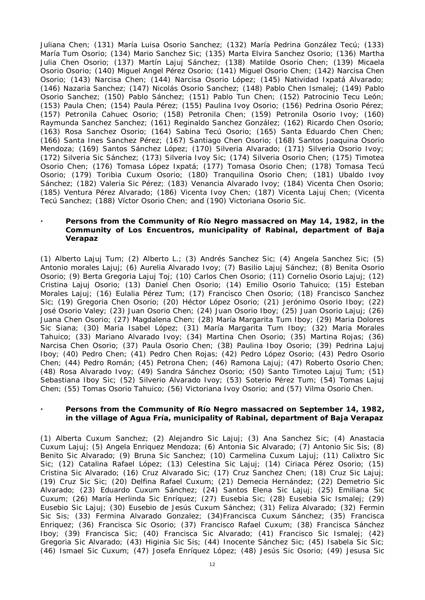Juliana Chen; (131) María Luisa Osorio Sanchez; (132) María Pedrina González Tecú; (133) María Tum Osorio; (134) Mario Sanchez Sic; (135) Marta Elvira Sanchez Osorio; (136) Martha Julia Chen Osorio; (137) Martín Lajuj Sánchez; (138) Matilde Osorio Chen; (139) Micaela Osorio Osorio; (140) Miguel Angel Pérez Osorio; (141) Miguel Osorio Chen; (142) Narcisa Chen Osorio; (143) Narcisa Chen; (144) Narcisa Osorio López; (145) Natividad Ixpatá Alvarado; (146) Nazaria Sanchez; (147) Nicolás Osorio Sanchez; (148) Pablo Chen Ismalej; (149) Pablo Osorio Sanchez; (150) Pablo Sánchez; (151) Pablo Tun Chen; (152) Patrocinio Tecu León; (153) Paula Chen; (154) Paula Pérez; (155) Paulina Ivoy Osorio; (156) Pedrina Osorio Pérez; (157) Petronila Cahuec Osorio; (158) Petronila Chen; (159) Petronila Osorio Ivoy; (160) Raymunda Sanchez Sanchez; (161) Reginaldo Sanchez González; (162) Ricardo Chen Osorio; (163) Rosa Sanchez Osorio; (164) Sabina Tecú Osorio; (165) Santa Eduardo Chen Chen; (166) Santa Ines Sanchez Pérez; (167) Santiago Chen Osorio; (168) Santos Joaquina Osorio Mendoza; (169) Santos Sánchez López; (170) Silveria Alvarado; (171) Silveria Osorio Ivoy; (172) Silveria Sic Sánchez; (173) Silveria Ivoy Sic; (174) Silveria Osorio Chen; (175) Timotea Osorio Chen; (176) Tomasa López Ixpatá; (177) Tomasa Osorio Chen; (178) Tomasa Tecú Osorio; (179) Toribia Cuxum Osorio; (180) Tranquilina Osorio Chen; (181) Ubaldo Ivoy Sánchez; (182) Valeria Sic Pérez; (183) Venancia Alvarado Ivoy; (184) Vicenta Chen Osorio; (185) Ventura Pérez Alvarado; (186) Vicenta Ivoy Chen; (187) Vicenta Lajuj Chen; (Vicenta Tecú Sanchez; (188) Víctor Osorio Chen; and (190) Victoriana Osorio Sic.

## **· Persons from the Community of Río Negro massacred on May 14, 1982, in the Community of Los Encuentros, municipality of Rabinal, department of Baja Verapaz**

(1) Alberto Lajuj Tum; (2) Alberto L.; (3) Andrés Sanchez Sic; (4) Angela Sanchez Sic; (5) Antonio morales Lajuj; (6) Aurelia Alvarado Ivoy; (7) Basilio Lajuj Sánchez; (8) Benita Osorio Osorio; (9) Berta Gregoria Lajuj Toj; (10) Carlos Chen Osorio; (11) Cornelio Osorio Lajuj; (12) Cristina Lajuj Osorio; (13) Daniel Chen Osorio; (14) Emilio Osorio Tahuico; (15) Esteban Morales Lajuj; (16) Eulalia Pérez Tum; (17) Francisco Chen Osorio; (18) Francisco Sanchez Sic; (19) Gregoria Chen Osorio; (20) Héctor López Osorio; (21) Jerónimo Osorio Iboy; (22) José Osorio Valey; (23) Juan Osorio Chen; (24) Juan Osorio Iboy; (25) Juan Osorio Lajuj; (26) Juana Chen Osorio; (27) Magdalena Chen; (28) María Margarita Tum Iboy; (29) Maria Dolores Sic Siana; (30) Maria Isabel López; (31) María Margarita Tum Iboy; (32) Maria Morales Tahuico; (33) Mariano Alvarado Ivoy; (34) Martina Chen Osorio; (35) Martina Rojas; (36) Narcisa Chen Osorio; (37) Paula Osorio Chen; (38) Paulina Iboy Osorio; (39) Pedrina Lajuj Iboy; (40) Pedro Chen; (41) Pedro Chen Rojas; (42) Pedro López Osorio; (43) Pedro Osorio Chen; (44) Pedro Román; (45) Petrona Chen; (46) Ramona Lajuj; (47) Roberto Osorio Chen; (48) Rosa Alvarado Ivoy; (49) Sandra Sánchez Osorio; (50) Santo Timoteo Lajuj Tum; (51) Sebastiana Iboy Sic; (52) Silverio Alvarado Ivoy; (53) Soterio Pérez Tum; (54) Tomas Lajuj Chen; (55) Tomas Osorio Tahuico; (56) Victoriana Ivoy Osorio; and (57) Vilma Osorio Chen.

#### **· Persons from the Community of Río Negro massacred on September 14, 1982, in the village of Agua Fría, municipality of Rabinal, department of Baja Verapaz**

(1) Alberta Cuxum Sanchez; (2) Alejandro Sic Lajuj; (3) Ana Sanchez Sic; (4) Anastacia Cuxum Lajuj; (5) Angela Enriquez Mendoza; (6) Antonia Sic Alvarado; (7) Antonio Sic Sis; (8) Benito Sic Alvarado; (9) Bruna Sic Sanchez; (10) Carmelina Cuxum Lajuj; (11) Calixtro Sic Sic; (12) Catalina Rafael López; (13) Celestina Sic Lajuj; (14) Ciriaca Pérez Osorio; (15) Cristina Sic Alvarado; (16) Cruz Alvarado Sic; (17) Cruz Sanchez Chen; (18) Cruz Sic Lajuj; (19) Cruz Sic Sic; (20) Delfina Rafael Cuxum; (21) Demecia Hernández; (22) Demetrio Sic Alvarado; (23) Eduardo Cuxum Sánchez; (24) Santos Elena Sic Lajuj; (25) Emiliana Sic Cuxum; (26) María Herlinda Sic Enríquez; (27) Eusebia Sic; (28) Eusebia Sic Ismalej; (29) Eusebio Sic Lajuj; (30) Eusebio de Jesús Cuxum Sánchez; (31) Feliza Alvarado; (32) Fermin Sic Sis; (33) Fermina Alvarado Gonzalez; (34)Francisca Cuxum Sánchez; (35) Francisca Enriquez; (36) Francisca Sic Osorio; (37) Francisco Rafael Cuxum; (38) Francisca Sánchez Iboy; (39) Francisca Sic; (40) Francisca Sic Alvarado; (41) Francisco Sic Ismalej; (42) Gregoria Sic Alvarado; (43) Higinia Sic Sis; (44) Inocente Sánchez Sic; (45) Isabela Sic Sic; (46) Ismael Sic Cuxum; (47) Josefa Enríquez López; (48) Jesús Sic Osorio; (49) Jesusa Sic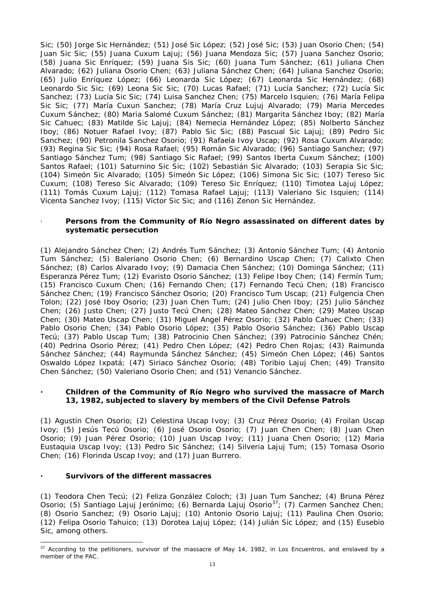Sic; (50) Jorge Sic Hernández; (51) José Sic López; (52) José Sic; (53) Juan Osorio Chen; (54) Juan Sic Sic; (55) Juana Cuxum Lajuj; (56) Juana Mendoza Sic; (57) Juana Sanchez Osorio; (58) Juana Sic Enríquez; (59) Juana Sis Sic; (60) Juana Tum Sánchez; (61) Juliana Chen Alvarado; (62) Juliana Osorio Chen; (63) Juliana Sánchez Chen; (64) Juliana Sanchez Osorio; (65) Julio Enríquez López; (66) Leonarda Sic López; (67) Leonarda Sic Hernández; (68) Leonardo Sic Sic; (69) Leona Sic Sic; (70) Lucas Rafael; (71) Lucía Sanchez; (72) Lucía Sic Sanchez; (73) Lucía Sic Sic; (74) Luisa Sanchez Chen; (75) Marcelo Isquien; (76) María Felipa Sic Sic; (77) María Cuxun Sanchez; (78) María Cruz Lujuj Alvarado; (79) Maria Mercedes Cuxum Sánchez; (80) Maria Salomé Cuxum Sánchez; (81) Margarita Sánchez Iboy; (82) María Sic Cahuec; (83) Matilde Sic Lajuj; (84) Nemecia Hernández López; (85) Nolberto Sánchez Iboy; (86) Notuer Rafael Ivoy; (87) Pablo Sic Sic; (88) Pascual Sic Lajuj; (89) Pedro Sic Sanchez; (90) Petronila Sanchez Osorio; (91) Rafaela Ivoy Uscap; (92) Rosa Cuxum Alvarado; (93) Regina Sic Sic; (94) Rosa Rafael; (95) Román Sic Alvarado; (96) Santiago Sanchez; (97) Santiago Sánchez Tum; (98) Santiago Sic Rafael; (99) Santos Iberta Cuxum Sánchez; (100) Santos Rafael; (101) Saturnino Sic Sic; (102) Sebastián Sic Alvarado; (103) Serapia Sic Sic; (104) Simeón Sic Alvarado; (105) Simeón Sic López; (106) Simona Sic Sic; (107) Tereso Sic Cuxum; (108) Tereso Sic Alvarado; (109) Tereso Sic Enríquez; (110) Timotea Lajuj López; (111) Tomás Cuxum Lajuj; (112) Tomasa Rafael Lajuj; (113) Valeriano Sic Isquien; (114) Vicenta Sanchez Ivoy; (115) Víctor Sic Sic; and (116) Zenon Sic Hernández.

## · **Persons from the Community of Río Negro assassinated on different dates by systematic persecution**

(1) Alejandro Sánchez Chen; (2) Andrés Tum Sánchez; (3) Antonio Sánchez Tum; (4) Antonio Tum Sánchez; (5) Baleriano Osorio Chen; (6) Bernardino Uscap Chen; (7) Calixto Chen Sánchez; (8) Carlos Alvarado Ivoy; (9) Damacia Chen Sánchez; (10) Dominga Sánchez; (11) Esperanza Pérez Tum; (12) Evaristo Osorio Sánchez; (13) Felipe Iboy Chen; (14) Fermín Tum; (15) Francisco Cuxum Chen; (16) Fernando Chen; (17) Fernando Tecú Chen; (18) Francisco Sánchez Chen; (19) Francisco Sánchez Osorio; (20) Francisco Tum Uscap; (21) Fulgencia Chen Tolon; (22) José Iboy Osorio; (23) Juan Chen Tum; (24) Julio Chen Iboy; (25) Julio Sánchez Chen; (26) Justo Chen; (27) Justo Tecú Chen; (28) Mateo Sánchez Chen; (29) Mateo Uscap Chen; (30) Mateo Uscap Chen; (31) Miguel Angel Pérez Osorio; (32) Pablo Cahuec Chen; (33) Pablo Osorio Chen; (34) Pablo Osorio López; (35) Pablo Osorio Sánchez; (36) Pablo Uscap Tecú; (37) Pablo Uscap Tum; (38) Patrocinio Chen Sánchez; (39) Patrocinio Sánchez Chén; (40) Pedrina Osorio Pérez; (41) Pedro Chen López; (42) Pedro Chen Rojas; (43) Raimunda Sánchez Sánchez; (44) Raymunda Sánchez Sánchez; (45) Simeón Chen López; (46) Santos Oswaldo López Ixpatá; (47) Siriaco Sánchez Osorio; (48) Toribio Lajuj Chen; (49) Transito Chen Sánchez; (50) Valeriano Osorio Chen; and (51) Venancio Sánchez.

## **· Children of the Community of Río Negro who survived the massacre of March 13, 1982, subjected to slavery by members of the Civil Defense Patrols**

(1) Agustín Chen Osorio; (2) Celestina Uscap Ivoy; (3) Cruz Pérez Osorio; (4) Froilan Uscap Ivoy; (5) Jesús Tecú Osorio; (6) José Osorio Osorio; (7) Juan Chen Chen; (8) Juan Chen Osorio; (9) Juan Pérez Osorio; (10) Juan Uscap Ivoy; (11) Juana Chen Osorio; (12) Maria Eustaquia Uscap Ivoy; (13) Pedro Sic Sánchez; (14) Silveria Lajuj Tum; (15) Tomasa Osorio Chen; (16) Florinda Uscap Ivoy; and (17) Juan Burrero.

## **· Survivors of the different massacres**

(1) Teodora Chen Tecú; (2) Feliza González Coloch; (3) Juan Tum Sanchez; (4) Bruna Pérez Osorio; (5) Santiago Lajuj Jerónimo; (6) Bernarda Lajuj Osorio<sup>[37](#page-12-0)</sup>; (7) Carmen Sanchez Chen; (8) Osorio Sanchez; (9) Osorio Lajuj; (10) Antonio Osorio Lajuj; (11) Paulina Chen Osorio; (12) Felipa Osorio Tahuico; (13) Dorotea Lajuj López; (14) Julián Sic López; and (15) Eusebio Sic, among others.

<span id="page-12-0"></span><sup>&</sup>lt;sup>37</sup> According to the petitioners, survivor of the massacre of May 14, 1982, in Los Encuentros, and enslaved by a member of the PAC.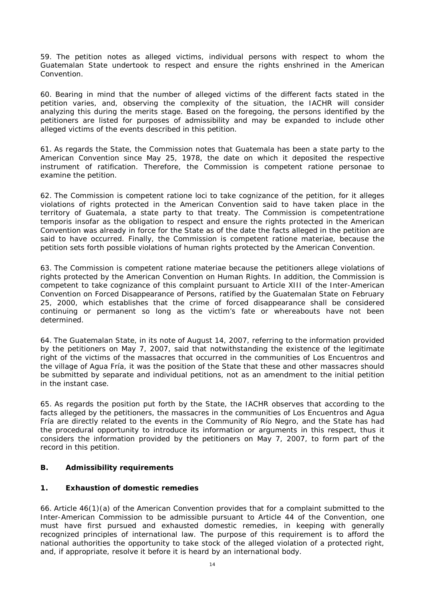59. The petition notes as alleged victims, individual persons with respect to whom the Guatemalan State undertook to respect and ensure the rights enshrined in the American Convention.

60. Bearing in mind that the number of alleged victims of the different facts stated in the petition varies, and, observing the complexity of the situation, the IACHR will consider analyzing this during the merits stage. Based on the foregoing, the persons identified by the petitioners are listed for purposes of admissibility and may be expanded to include other alleged victims of the events described in this petition.

61. As regards the State, the Commission notes that Guatemala has been a state party to the American Convention since May 25, 1978, the date on which it deposited the respective instrument of ratification. Therefore, the Commission is competent *ratione personae* to examine the petition.

62. The Commission is competent *ratione loci* to take cognizance of the petition, for it alleges violations of rights protected in the American Convention said to have taken place in the territory of Guatemala, a state party to that treaty. The Commission is competent*ratione temporis* insofar as the obligation to respect and ensure the rights protected in the American Convention was already in force for the State as of the date the facts alleged in the petition are said to have occurred. Finally, the Commission is competent *ratione materiae*, because the petition sets forth possible violations of human rights protected by the American Convention.

63. The Commission is competent *ratione materiae* because the petitioners allege violations of rights protected by the American Convention on Human Rights. In addition, the Commission is competent to take cognizance of this complaint pursuant to Article XIII of the Inter-American Convention on Forced Disappearance of Persons, ratified by the Guatemalan State on February 25, 2000, which establishes that the crime of forced disappearance shall be considered continuing or permanent so long as the victim's fate or whereabouts have not been determined.

64. The Guatemalan State, in its note of August 14, 2007, referring to the information provided by the petitioners on May 7, 2007, said that notwithstanding the existence of the legitimate right of the victims of the massacres that occurred in the communities of Los Encuentros and the village of Agua Fría, it was the position of the State that these and other massacres should be submitted by separate and individual petitions, not as an amendment to the initial petition in the instant case.

65. As regards the position put forth by the State, the IACHR observes that according to the facts alleged by the petitioners, the massacres in the communities of Los Encuentros and Agua Fría are directly related to the events in the Community of Río Negro, and the State has had the procedural opportunity to introduce its information or arguments in this respect, thus it considers the information provided by the petitioners on May 7, 2007, to form part of the record in this petition.

## **B. Admissibility requirements**

# **1. Exhaustion of domestic remedies**

66. Article 46(1)(a) of the American Convention provides that for a complaint submitted to the Inter-American Commission to be admissible pursuant to Article 44 of the Convention, one must have first pursued and exhausted domestic remedies, in keeping with generally recognized principles of international law. The purpose of this requirement is to afford the national authorities the opportunity to take stock of the alleged violation of a protected right, and, if appropriate, resolve it before it is heard by an international body.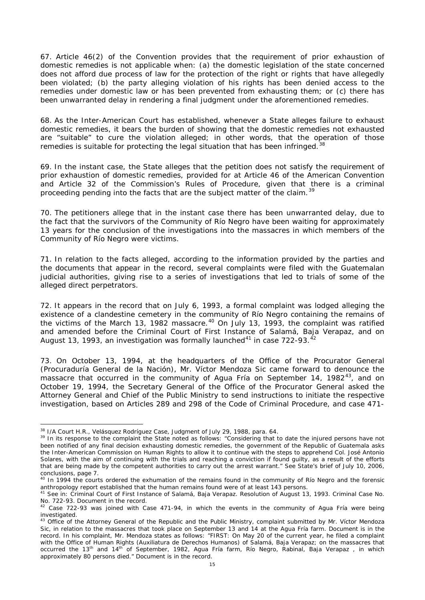67. Article 46(2) of the Convention provides that the requirement of prior exhaustion of domestic remedies is not applicable when: (a) the domestic legislation of the state concerned does not afford due process of law for the protection of the right or rights that have allegedly been violated; (b) the party alleging violation of his rights has been denied access to the remedies under domestic law or has been prevented from exhausting them; or (c) there has been unwarranted delay in rendering a final judgment under the aforementioned remedies.

68. As the Inter-American Court has established, whenever a State alleges failure to exhaust domestic remedies, it bears the burden of showing that the domestic remedies not exhausted are "suitable" to cure the violation alleged; in other words, that the operation of those remedies is suitable for protecting the legal situation that has been infringed.<sup>[38](#page-14-0)</sup>

69. In the instant case, the State alleges that the petition does not satisfy the requirement of prior exhaustion of domestic remedies, provided for at Article 46 of the American Convention and Article 32 of the Commission's Rules of Procedure, given that there is a criminal proceeding pending into the facts that are the subject matter of the claim.<sup>[39](#page-14-1)</sup>

70. The petitioners allege that in the instant case there has been unwarranted delay, due to the fact that the survivors of the Community of Río Negro have been waiting for approximately 13 years for the conclusion of the investigations into the massacres in which members of the Community of Río Negro were victims.

71. In relation to the facts alleged, according to the information provided by the parties and the documents that appear in the record, several complaints were filed with the Guatemalan judicial authorities, giving rise to a series of investigations that led to trials of some of the alleged direct perpetrators.

72. It appears in the record that on July 6, 1993, a formal complaint was lodged alleging the existence of a clandestine cemetery in the community of Río Negro containing the remains of the victims of the March 13, 1982 massacre.<sup>[40](#page-14-2)</sup> On July 13, 1993, the complaint was ratified and amended before the Criminal Court of First Instance of Salamá, Baja Verapaz, and on August 13, 1993, an investigation was formally launched $41$  in case 722-93. $42$ 

73. On October 13, 1994, at the headquarters of the Office of the Procurator General (Procuraduría General de la Nación), Mr. Víctor Mendoza Sic came forward to denounce the massacre that occurred in the community of Agua Fría on September 14, 1982 $^{43}$  $^{43}$  $^{43}$ , and on October 19, 1994, the Secretary General of the Office of the Procurator General asked the Attorney General and Chief of the Public Ministry to send instructions to initiate the respective investigation, based on Articles 289 and 298 of the Code of Criminal Procedure, and case 471-

 <sup>38</sup> I/A Court H.R., *Velásquez Rodríguez Case,* Judgment of July 29, 1988, para. 64.

<span id="page-14-1"></span><span id="page-14-0"></span><sup>&</sup>lt;sup>39</sup> In its response to the complaint the State noted as follows: "Considering that to date the injured persons have not been notified of any final decision exhausting domestic remedies, the government of the Republic of Guatemala asks the Inter-American Commission on Human Rights to allow it to continue with the steps to apprehend Col. José Antonio Solares, with the aim of continuing with the trials and reaching a conviction if found guilty, as a result of the efforts that are being made by the competent authorities to carry out the arrest warrant." See State's brief of July 10, 2006, conclusions, page 7.

<span id="page-14-2"></span><sup>&</sup>lt;sup>40</sup> In 1994 the courts ordered the exhumation of the remains found in the community of Río Negro and the forensic anthropology report established that the human remains found were of at least 143 persons.

<span id="page-14-3"></span><sup>41</sup> See in: Criminal Court of First Instance of Salamá, Baja Verapaz. Resolution of August 13, 1993. Criminal Case No. No. 722-93. Document in the record.

<span id="page-14-4"></span> $42$  Case 722-93 was joined with Case 471-94, in which the events in the community of Agua Fría were being investigated.

<span id="page-14-5"></span><sup>&</sup>lt;sup>43</sup> Office of the Attorney General of the Republic and the Public Ministry, complaint submitted by Mr. Víctor Mendoza Sic, in relation to the massacres that took place on September 13 and 14 at the Agua Fría farm. Document is in the record. In his complaint, Mr. Mendoza states as follows: "FIRST: On May 20 of the current year, he filed a complaint with the Office of Human Rights (Auxiliatura de Derechos Humanos) of Salamá, Baja Verapaz; on the massacres that occurred the 13<sup>th</sup> and 14<sup>th</sup> of September, 1982, Agua Fría farm, Río Negro, Rabinal, Baja Verapaz , in which approximately 80 persons died." Document is in the record.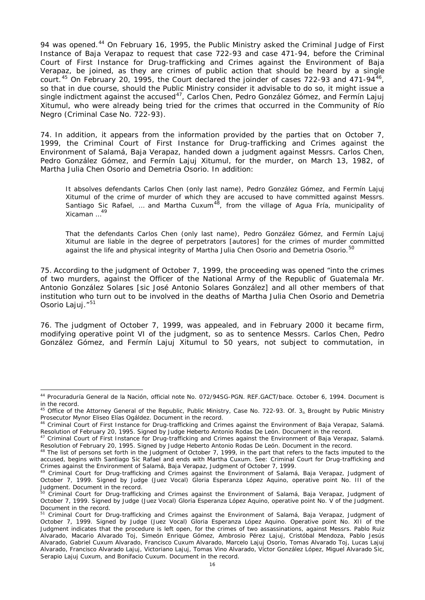94 was opened.<sup>[44](#page-15-0)</sup> On February 16, 1995, the Public Ministry asked the Criminal Judge of First Instance of Baja Verapaz to request that case 722-93 and case 471-94, before the Criminal Court of First Instance for Drug-trafficking and Crimes against the Environment of Baja Verapaz, be joined, as they are crimes of public action that should be heard by a single court.<sup>[45](#page-15-1)</sup> On February 20, 1995, the Court declared the joinder of cases 722-93 and 471-94<sup>46</sup>, so that in due course, should the Public Ministry consider it advisable to do so, it might issue a single indictment against the accused<sup>[47](#page-15-3)</sup>, Carlos Chen, Pedro González Gómez, and Fermín Lajuj Xitumul, who were already being tried for the crimes that occurred in the Community of Río Negro (Criminal Case No. 722-93).

74. In addition, it appears from the information provided by the parties that on October 7, 1999, the Criminal Court of First Instance for Drug-trafficking and Crimes against the Environment of Salamá, Baja Verapaz, handed down a judgment against Messrs. Carlos Chen, Pedro González Gómez, and Fermín Lajuj Xitumul, for the murder, on March 13, 1982, of Martha Julia Chen Osorio and Demetria Osorio. In addition:

It absolves defendants Carlos Chen (only last name), Pedro González Gómez, and Fermín Lajuj Xitumul of the crime of murder of which they are accused to have committed against Messrs. Santiago Sic Rafael, ... and Martha Cuxum<sup>48</sup>, from the village of Agua Fría, municipality of Xicaman …[49](#page-15-5)

That the defendants Carlos Chen (only last name), Pedro González Gómez, and Fermín Lajuj Xitumul are liable in the degree of perpetrators [*autores*] for the crimes of murder committed against the life and physical integrity of Martha Julia Chen Osorio and Demetria Osorio.<sup>5</sup>

75. According to the judgment of October 7, 1999, the proceeding was opened "into the crimes of two murders, against the Officer of the National Army of the Republic of Guatemala Mr. Antonio González Solares [sic José Antonio Solares González] and all other members of that institution who turn out to be involved in the deaths of Martha Julia Chen Osorio and Demetria Osorio Lajuj."<sup>[51](#page-15-7)</sup>

76. The judgment of October 7, 1999, was appealed, and in February 2000 it became firm, modifying operative point VI of the judgment, so as to sentence Messrs. Carlos Chen, Pedro González Gómez, and Fermín Lajuj Xitumul to 50 years, not subject to commutation, in

<span id="page-15-0"></span> <sup>44</sup> Procuraduría General de la Nación, official note No. 072/94SG-PGN. REF.GACT/bace. October 6, 1994. Document is in the record.

<span id="page-15-1"></span> $45$  Office of the Attorney General of the Republic, Public Ministry, Case No. 722-93. Of. 3<sub>0</sub> Brought by Public Ministry Prosecutor Mynor Eliseo Elías Ogáldez. Document in the record.

<span id="page-15-2"></span><sup>46</sup> Criminal Court of First Instance for Drug-trafficking and Crimes against the Environment of Baja Verapaz, Salamá. Resolution of February 20, 1995. Signed by Judge Heberto Antonio Rodas De León. Document in the record.

<span id="page-15-3"></span><sup>&</sup>lt;sup>47</sup> Criminal Court of First Instance for Drug-trafficking and Crimes against the Environment of Baja Verapaz, Salamá. Resolution of February 20, 1995. Signed by Judge Heberto Antonio Rodas De León. Document in the record.

<span id="page-15-4"></span><sup>&</sup>lt;sup>48</sup> The list of persons set forth in the Judgment of October 7, 1999, in the part that refers to the facts imputed to the accused, begins with Santiago Sic Rafael and ends with Martha Cuxum. See: Criminal Court for Drug-trafficking and Crimes against the Environment of Salamá, Baja Verapaz, Judgment of October 7, 1999.

<span id="page-15-5"></span><sup>49</sup> Criminal Court for Drug-trafficking and Crimes against the Environment of Salamá, Baja Verapaz, Judgment of October 7, 1999. Signed by Judge (Juez Vocal) Gloria Esperanza López Aquino, operative point No. III of the Judgment. Document in the record.

<span id="page-15-6"></span><sup>&</sup>lt;sup>50</sup> Criminal Court for Drug-trafficking and Crimes against the Environment of Salamá, Baja Verapaz, Judgment of October 7, 1999. Signed by Judge (Juez Vocal) Gloria Esperanza López Aquino, operative point No. V of the Judgment. Document in the record.

<span id="page-15-7"></span><sup>51</sup> Criminal Court for Drug-trafficking and Crimes against the Environment of Salamá, Baja Verapaz, Judgment of October 7, 1999. Signed by Judge (Juez Vocal) Gloria Esperanza López Aquino. Operative point No. XII of the Judgment indicates that the procedure is left open, for the crimes of two assassinations, against Messrs. Pablo Ruiz Alvarado, Macario Alvarado Toj, Simeón Enrique Gómez, Ambrosio Pérez Lajuj, Cristóbal Mendoza, Pablo Jesús Alvarado, Gabriel Cuxum Alvarado, Francisco Cuxum Alvarado, Marcelo Lajuj Osorio, Tomas Alvarado Toj, Lucas Lajuj Alvarado, Francisco Alvarado Lajuj, Victoriano Lajuj, Tomas Vino Alvarado, Víctor González López, Miguel Alvarado Sic, Serapio Lajuj Cuxum, and Bonifacio Cuxum. Document in the record.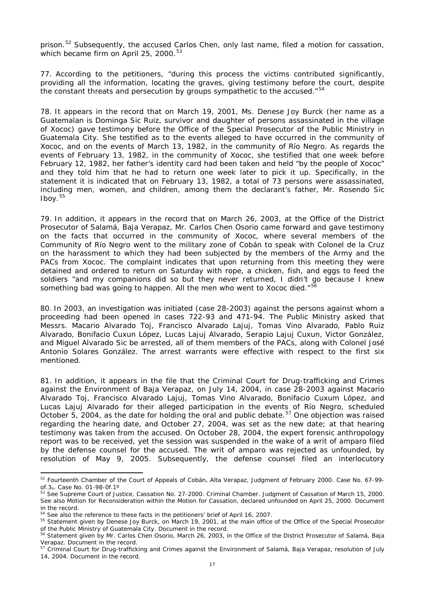prison.<sup>[52](#page-16-0)</sup> Subsequently, the accused Carlos Chen, only last name, filed a motion for cassation, which became firm on April 25, 2000.<sup>[53](#page-16-1)</sup>

77. According to the petitioners, "during this process the victims contributed significantly, providing all the information, locating the graves, giving testimony before the court, despite the constant threats and persecution by groups sympathetic to the accused."<sup>[54](#page-16-2)</sup>

78. It appears in the record that on March 19, 2001, Ms. Denese Joy Burck (her name as a Guatemalan is Dominga Sic Ruiz, survivor and daughter of persons assassinated in the village of Xococ) gave testimony before the Office of the Special Prosecutor of the Public Ministry in Guatemala City. She testified as to the events alleged to have occurred in the community of Xococ, and on the events of March 13, 1982, in the community of Río Negro. As regards the events of February 13, 1982, in the community of Xococ, she testified that one week before February 12, 1982, her father's identity card had been taken and held "by the people of Xococ" and they told him that he had to return one week later to pick it up. Specifically, in the statement it is indicated that on February 13, 1982, a total of 73 persons were assassinated, including men, women, and children, among them the declarant's father, Mr. Rosendo Sic  $I$ boy.  $55$ 

79. In addition, it appears in the record that on March 26, 2003, at the Office of the District Prosecutor of Salamá, Baja Verapaz, Mr. Carlos Chen Osorio came forward and gave testimony on the facts that occurred in the community of Xococ, where several members of the Community of Río Negro went to the military zone of Cobán to speak with Colonel de la Cruz on the harassment to which they had been subjected by the members of the Army and the PACs from Xococ. The complaint indicates that upon returning from this meeting they were detained and ordered to return on Saturday with rope, a chicken, fish, and eggs to feed the soldiers "and my companions did so but they never returned, I didn't go because I knew something bad was going to happen. All the men who went to Xococ died."<sup>5</sup>

80. In 2003, an investigation was initiated (case 28-2003) against the persons against whom a proceeding had been opened in cases 722-93 and 471-94. The Public Ministry asked that Messrs. Macario Alvarado Toj, Francisco Alvarado Lajuj, Tomas Vino Alvarado, Pablo Ruiz Alvarado, Bonifacio Cuxun López, Lucas Lajuj Alvarado, Serapio Lajuj Cuxun, Victor González, and Miguel Alvarado Sic be arrested, all of them members of the PACs, along with Colonel José Antonio Solares González. The arrest warrants were effective with respect to the first six mentioned.

81. In addition, it appears in the file that the Criminal Court for Drug-trafficking and Crimes against the Environment of Baja Verapaz, on July 14, 2004, in case 28-2003 against Macario Alvarado Toj, Francisco Alvarado Lajuj, Tomas Vino Alvarado, Bonifacio Cuxum López, and Lucas Lajuj Alvarado for their alleged participation in the events of Río Negro, scheduled October 5, 2004, as the date for holding the oral and public debate.<sup>[57](#page-16-5)</sup> One objection was raised regarding the hearing date, and October 27, 2004, was set as the new date; at that hearing testimony was taken from the accused. On October 28, 2004, the expert forensic anthropology report was to be received, yet the session was suspended in the wake of a writ of *amparo* filed by the defense counsel for the accused. The writ of *amparo* was rejected as unfounded, by resolution of May 9, 2005. Subsequently, the defense counsel filed an interlocutory

<span id="page-16-0"></span> <sup>52</sup> Fourteenth Chamber of the Court of Appeals of Cobán, Alta Verapaz, Judgment of February 2000. Case No. 67-99 of.3o. Case No. 01-98-0f.1º.

<span id="page-16-1"></span><sup>53</sup> See Supreme Court of Justice, Cassation No. 27-2000. Criminal Chamber. Judgment of Cassation of March 15, 2000. See also Motion for Reconsideration within the Motion for Cassation, declared unfounded on April 25, 2000. Document in the record.

<sup>54</sup> See also the reference to these facts in the petitioners' brief of April 16, 2007.

<span id="page-16-3"></span><span id="page-16-2"></span><sup>55</sup> Statement given by Denese Joy Burck, on March 19, 2001, at the main office of the Office of the Special Prosecutor of the Public Ministry of Guatemala City. Document in the record.

<span id="page-16-4"></span> $56$  Statement given by Mr. Carlos Chen Osorio, March 26, 2003, in the Office of the District Prosecutor of Salamá, Baja Verapaz. Document in the record.

<span id="page-16-5"></span><sup>&</sup>lt;sup>57</sup> Criminal Court for Drug-trafficking and Crimes against the Environment of Salamá, Baja Verapaz, resolution of July 14, 2004. Document in the record.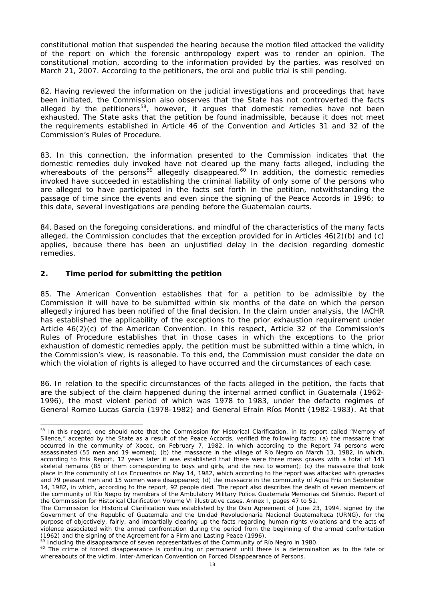constitutional motion that suspended the hearing because the motion filed attacked the validity of the report on which the forensic anthropology expert was to render an opinion. The constitutional motion, according to the information provided by the parties, was resolved on March 21, 2007. According to the petitioners, the oral and public trial is still pending.

82. Having reviewed the information on the judicial investigations and proceedings that have been initiated, the Commission also observes that the State has not controverted the facts alleged by the petitioners<sup>[58](#page-17-0)</sup>, however, it argues that domestic remedies have not been exhausted. The State asks that the petition be found inadmissible, because it does not meet the requirements established in Article 46 of the Convention and Articles 31 and 32 of the Commission's Rules of Procedure.

83. In this connection, the information presented to the Commission indicates that the domestic remedies duly invoked have not cleared up the many facts alleged, including the whereabouts of the persons<sup>[59](#page-17-1)</sup> allegedly disappeared.<sup>[60](#page-17-2)</sup> In addition, the domestic remedies invoked have succeeded in establishing the criminal liability of only some of the persons who are alleged to have participated in the facts set forth in the petition, notwithstanding the passage of time since the events and even since the signing of the Peace Accords in 1996; to this date, several investigations are pending before the Guatemalan courts.

84. Based on the foregoing considerations, and mindful of the characteristics of the many facts alleged, the Commission concludes that the exception provided for in Articles 46(2)(b) and (c) applies, because there has been an unjustified delay in the decision regarding domestic remedies.

## **2. Time period for submitting the petition**

85. The American Convention establishes that for a petition to be admissible by the Commission it will have to be submitted within six months of the date on which the person allegedly injured has been notified of the final decision. In the claim under analysis, the IACHR has established the applicability of the exceptions to the prior exhaustion requirement under Article 46(2)(c) of the American Convention. In this respect, Article 32 of the Commission's Rules of Procedure establishes that in those cases in which the exceptions to the prior exhaustion of domestic remedies apply, the petition must be submitted within a time which, in the Commission's view, is reasonable. To this end, the Commission must consider the date on which the violation of rights is alleged to have occurred and the circumstances of each case.

86. In relation to the specific circumstances of the facts alleged in the petition, the facts that are the subject of the claim happened during the internal armed conflict in Guatemala (1962- 1996), the most violent period of which was 1978 to 1983, under the de*facto* regimes of General Romeo Lucas García (1978-1982) and General Efraín Ríos Montt (1982-1983). At that

<span id="page-17-0"></span><sup>58</sup> In this regard, one should note that the Commission for Historical Clarification, in its report called "Memory of Silence," accepted by the State as a result of the Peace Accords, verified the following facts: (a) the massacre that occurred in the community of Xococ, on February 7, 1982, in which according to the Report 74 persons were assassinated (55 men and 19 women); (b) the massacre in the village of Río Negro on March 13, 1982, in which, according to this Report, 12 years later it was established that there were three mass graves with a total of 143 skeletal remains (85 of them corresponding to boys and girls, and the rest to women); (c) the massacre that took place in the community of Los Encuentros on May 14, 1982, which according to the report was attacked with grenades and 79 peasant men and 15 women were disappeared; (d) the massacre in the community of Agua Fría on September 14, 1982, in which, according to the report, 92 people died. The report also describes the death of seven members of the community of Río Negro by members of the Ambulatory Military Police. Guatemala Memorias del Silencio. Report of the Commission for Historical Clarification Volume VI illustrative cases. Annex I, pages 47 to 51.

The Commission for Historical Clarification was established by the Oslo Agreement of June 23, 1994, signed by the Government of the Republic of Guatemala and the Unidad Revolucionaria Nacional Guatemalteca (URNG), for the purpose of objectively, fairly, and impartially clearing up the facts regarding human rights violations and the acts of violence associated with the armed confrontation during the period from the beginning of the armed confrontation (1962) and the signing of the Agreement for a Firm and Lasting Peace (1996).

 $59$  Including the disappearance of seven representatives of the Community of Río Negro in 1980.

<span id="page-17-2"></span><span id="page-17-1"></span><sup>&</sup>lt;sup>60</sup> The crime of forced disappearance is continuing or permanent until there is a determination as to the fate or whereabouts of the victim. Inter-American Convention on Forced Disappearance of Persons.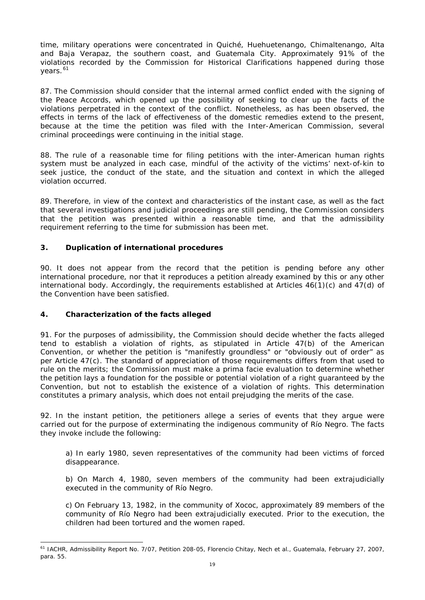time, military operations were concentrated in Quiché, Huehuetenango, Chimaltenango, Alta and Baja Verapaz, the southern coast, and Guatemala City. Approximately 91% of the violations recorded by the Commission for Historical Clarifications happened during those vears.<sup>[61](#page-18-0)</sup>

87. The Commission should consider that the internal armed conflict ended with the signing of the Peace Accords, which opened up the possibility of seeking to clear up the facts of the violations perpetrated in the context of the conflict. Nonetheless, as has been observed, the effects in terms of the lack of effectiveness of the domestic remedies extend to the present, because at the time the petition was filed with the Inter-American Commission, several criminal proceedings were continuing in the initial stage.

88. The rule of a reasonable time for filing petitions with the inter-American human rights system must be analyzed in each case, mindful of the activity of the victims' next-of-kin to seek justice, the conduct of the state, and the situation and context in which the alleged violation occurred.

89. Therefore, in view of the context and characteristics of the instant case, as well as the fact that several investigations and judicial proceedings are still pending, the Commission considers that the petition was presented within a reasonable time, and that the admissibility requirement referring to the time for submission has been met.

# **3. Duplication of international procedures**

90. It does not appear from the record that the petition is pending before any other international procedure, nor that it reproduces a petition already examined by this or any other international body. Accordingly, the requirements established at Articles 46(1)(c) and 47(d) of the Convention have been satisfied.

# **4. Characterization of the facts alleged**

91. For the purposes of admissibility, the Commission should decide whether the facts alleged tend to establish a violation of rights, as stipulated in Article 47(b) of the American Convention, or whether the petition is "manifestly groundless" or "obviously out of order" as per Article 47(c). The standard of appreciation of those requirements differs from that used to rule on the merits; the Commission must make a *prima facie* evaluation to determine whether the petition lays a foundation for the possible or potential violation of a right guaranteed by the Convention, but not to establish the existence of a violation of rights. This determination constitutes a primary analysis, which does not entail prejudging the merits of the case.

92. In the instant petition, the petitioners allege a series of events that they argue were carried out for the purpose of exterminating the indigenous community of Río Negro. The facts they invoke include the following:

a) In early 1980, seven representatives of the community had been victims of forced disappearance.

b) On March 4, 1980, seven members of the community had been extrajudicially executed in the community of Río Negro.

c) On February 13, 1982, in the community of Xococ, approximately 89 members of the community of Río Negro had been extrajudicially executed. Prior to the execution, the children had been tortured and the women raped.

<span id="page-18-0"></span> <sup>61</sup> IACHR, Admissibility Report No. 7/07, Petition 208-05, Florencio Chitay, Nech *et al*., Guatemala, February 27, 2007, para. 55.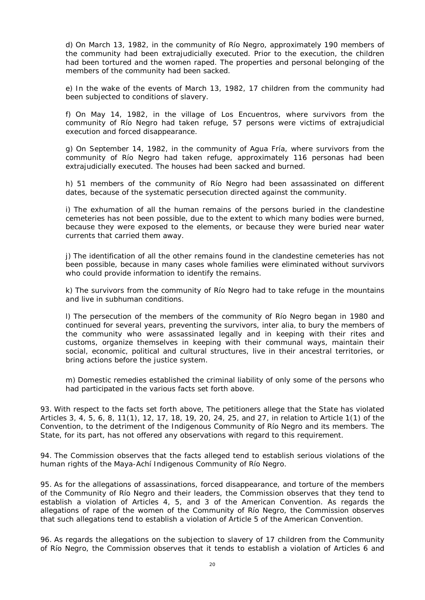d) On March 13, 1982, in the community of Río Negro, approximately 190 members of the community had been extrajudicially executed. Prior to the execution, the children had been tortured and the women raped. The properties and personal belonging of the members of the community had been sacked.

e) In the wake of the events of March 13, 1982, 17 children from the community had been subjected to conditions of slavery.

f) On May 14, 1982, in the village of Los Encuentros, where survivors from the community of Río Negro had taken refuge, 57 persons were victims of extrajudicial execution and forced disappearance.

g) On September 14, 1982, in the community of Agua Fría, where survivors from the community of Río Negro had taken refuge, approximately 116 personas had been extrajudicially executed. The houses had been sacked and burned.

h) 51 members of the community of Río Negro had been assassinated on different dates, because of the systematic persecution directed against the community.

i) The exhumation of all the human remains of the persons buried in the clandestine cemeteries has not been possible, due to the extent to which many bodies were burned, because they were exposed to the elements, or because they were buried near water currents that carried them away.

j) The identification of all the other remains found in the clandestine cemeteries has not been possible, because in many cases whole families were eliminated without survivors who could provide information to identify the remains.

k) The survivors from the community of Río Negro had to take refuge in the mountains and live in subhuman conditions.

l) The persecution of the members of the community of Río Negro began in 1980 and continued for several years, preventing the survivors, *inter alia,* to bury the members of the community who were assassinated legally and in keeping with their rites and customs, organize themselves in keeping with their communal ways, maintain their social, economic, political and cultural structures, live in their ancestral territories, or bring actions before the justice system.

m) Domestic remedies established the criminal liability of only some of the persons who had participated in the various facts set forth above.

93. With respect to the facts set forth above, The petitioners allege that the State has violated Articles 3, 4, 5, 6, 8, 11(1), 12, 17, 18, 19, 20, 24, 25, and 27, in relation to Article 1(1) of the Convention, to the detriment of the Indigenous Community of Río Negro and its members. The State, for its part, has not offered any observations with regard to this requirement.

94. The Commission observes that the facts alleged tend to establish serious violations of the human rights of the Maya-Achí Indigenous Community of Río Negro.

95. As for the allegations of assassinations, forced disappearance, and torture of the members of the Community of Río Negro and their leaders, the Commission observes that they tend to establish a violation of Articles 4, 5, and 3 of the American Convention. As regards the allegations of rape of the women of the Community of Río Negro, the Commission observes that such allegations tend to establish a violation of Article 5 of the American Convention.

96. As regards the allegations on the subjection to slavery of 17 children from the Community of Río Negro, the Commission observes that it tends to establish a violation of Articles 6 and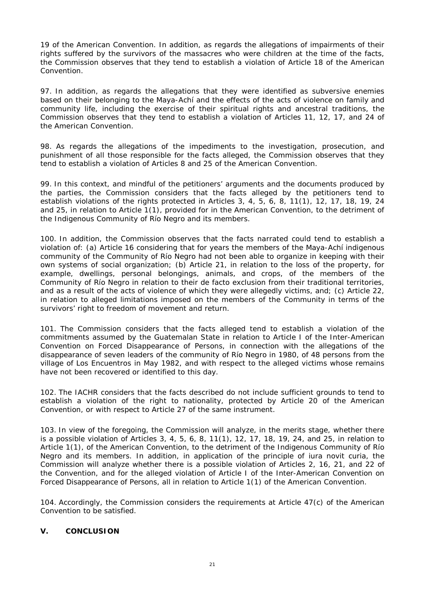19 of the American Convention. In addition, as regards the allegations of impairments of their rights suffered by the survivors of the massacres who were children at the time of the facts, the Commission observes that they tend to establish a violation of Article 18 of the American Convention.

97. In addition, as regards the allegations that they were identified as subversive enemies based on their belonging to the Maya-Achí and the effects of the acts of violence on family and community life, including the exercise of their spiritual rights and ancestral traditions, the Commission observes that they tend to establish a violation of Articles 11, 12, 17, and 24 of the American Convention.

98. As regards the allegations of the impediments to the investigation, prosecution, and punishment of all those responsible for the facts alleged, the Commission observes that they tend to establish a violation of Articles 8 and 25 of the American Convention.

99. In this context, and mindful of the petitioners' arguments and the documents produced by the parties, the Commission considers that the facts alleged by the petitioners tend to establish violations of the rights protected in Articles 3, 4, 5, 6, 8, 11(1), 12, 17, 18, 19, 24 and 25, in relation to Article 1(1), provided for in the American Convention, to the detriment of the Indigenous Community of Río Negro and its members.

100. In addition, the Commission observes that the facts narrated could tend to establish a violation of: (a) Article 16 considering that for years the members of the Maya-Achí indigenous community of the Community of Río Negro had not been able to organize in keeping with their own systems of social organization; (b) Article 21, in relation to the loss of the property, for example, dwellings, personal belongings, animals, and crops, of the members of the Community of Río Negro in relation to their de facto exclusion from their traditional territories, and as a result of the acts of violence of which they were allegedly victims, and; (c) Article 22, in relation to alleged limitations imposed on the members of the Community in terms of the survivors' right to freedom of movement and return.

101. The Commission considers that the facts alleged tend to establish a violation of the commitments assumed by the Guatemalan State in relation to Article I of the Inter-American Convention on Forced Disappearance of Persons, in connection with the allegations of the disappearance of seven leaders of the community of Río Negro in 1980, of 48 persons from the village of Los Encuentros in May 1982, and with respect to the alleged victims whose remains have not been recovered or identified to this day.

102. The IACHR considers that the facts described do not include sufficient grounds to tend to establish a violation of the right to nationality, protected by Article 20 of the American Convention, or with respect to Article 27 of the same instrument.

103. In view of the foregoing, the Commission will analyze, in the merits stage, whether there is a possible violation of Articles 3, 4, 5, 6, 8, 11(1), 12, 17, 18, 19, 24, and 25, in relation to Article 1(1), of the American Convention, to the detriment of the Indigenous Community of Río Negro and its members. In addition, in application of the principle of *iura novit curia*, the Commission will analyze whether there is a possible violation of Articles 2, 16, 21, and 22 of the Convention, and for the alleged violation of Article I of the Inter-American Convention on Forced Disappearance of Persons, all in relation to Article 1(1) of the American Convention.

104. Accordingly, the Commission considers the requirements at Article 47(c) of the American Convention to be satisfied.

# **V. CONCLUSION**